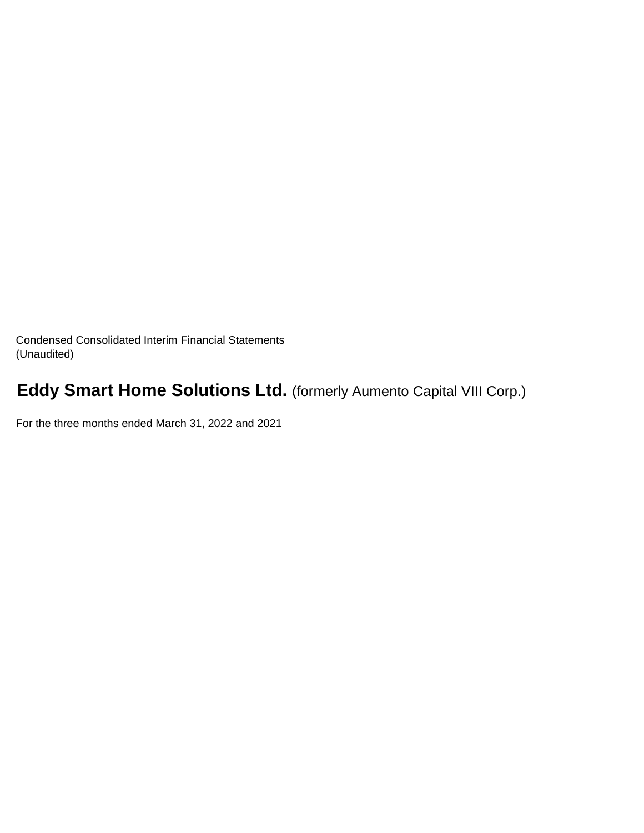Condensed Consolidated Interim Financial Statements (Unaudited)

# **Eddy Smart Home Solutions Ltd.** (formerly Aumento Capital VIII Corp.)

For the three months ended March 31, 2022 and 2021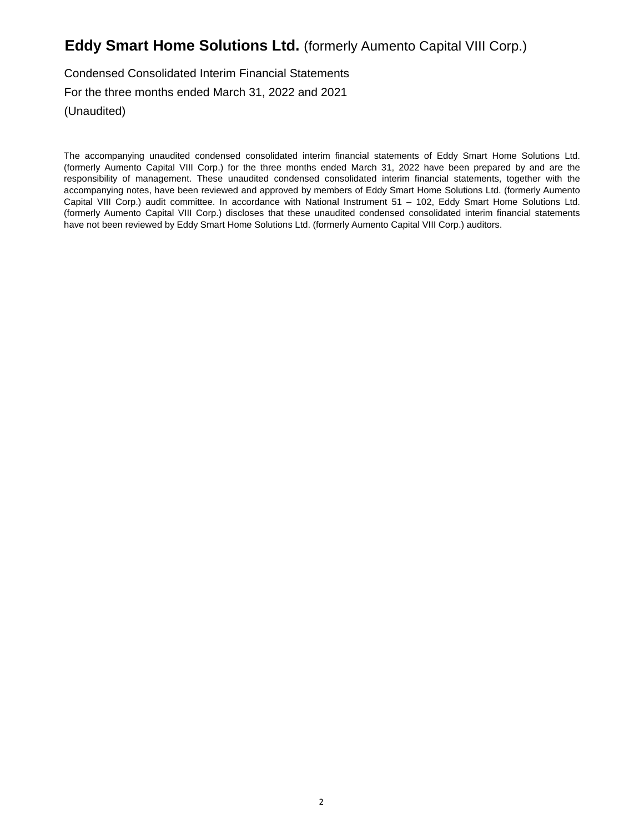Condensed Consolidated Interim Financial Statements For the three months ended March 31, 2022 and 2021 (Unaudited)

The accompanying unaudited condensed consolidated interim financial statements of Eddy Smart Home Solutions Ltd. (formerly Aumento Capital VIII Corp.) for the three months ended March 31, 2022 have been prepared by and are the responsibility of management. These unaudited condensed consolidated interim financial statements, together with the accompanying notes, have been reviewed and approved by members of Eddy Smart Home Solutions Ltd. (formerly Aumento Capital VIII Corp.) audit committee. In accordance with National Instrument 51 – 102, Eddy Smart Home Solutions Ltd. (formerly Aumento Capital VIII Corp.) discloses that these unaudited condensed consolidated interim financial statements have not been reviewed by Eddy Smart Home Solutions Ltd. (formerly Aumento Capital VIII Corp.) auditors.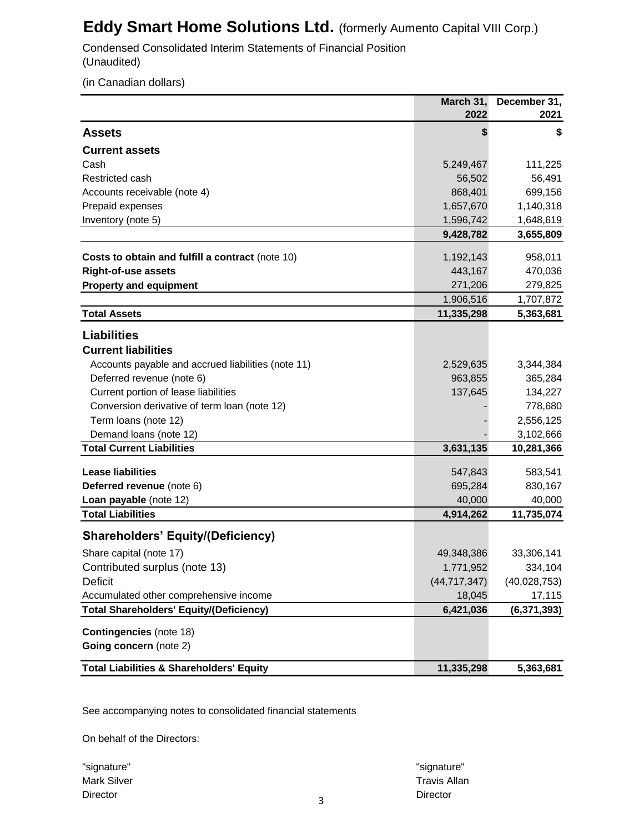Condensed Consolidated Interim Statements of Financial Position (Unaudited)

(in Canadian dollars)

|                                                     | March 31,      | December 31,  |
|-----------------------------------------------------|----------------|---------------|
|                                                     | 2022           | 2021          |
| <b>Assets</b>                                       | \$             | S             |
| <b>Current assets</b>                               |                |               |
| Cash                                                | 5,249,467      | 111,225       |
| Restricted cash                                     | 56,502         | 56,491        |
| Accounts receivable (note 4)                        | 868,401        | 699,156       |
| Prepaid expenses                                    | 1,657,670      | 1,140,318     |
| Inventory (note 5)                                  | 1,596,742      | 1,648,619     |
|                                                     | 9,428,782      | 3,655,809     |
| Costs to obtain and fulfill a contract (note 10)    | 1,192,143      | 958,011       |
| <b>Right-of-use assets</b>                          | 443,167        | 470,036       |
| <b>Property and equipment</b>                       | 271,206        | 279,825       |
|                                                     | 1,906,516      | 1,707,872     |
| <b>Total Assets</b>                                 | 11,335,298     | 5,363,681     |
|                                                     |                |               |
| <b>Liabilities</b>                                  |                |               |
| <b>Current liabilities</b>                          |                |               |
| Accounts payable and accrued liabilities (note 11)  | 2,529,635      | 3,344,384     |
| Deferred revenue (note 6)                           | 963,855        | 365,284       |
| Current portion of lease liabilities                | 137,645        | 134,227       |
| Conversion derivative of term loan (note 12)        |                | 778,680       |
| Term loans (note 12)                                |                | 2,556,125     |
| Demand loans (note 12)                              |                | 3,102,666     |
| <b>Total Current Liabilities</b>                    | 3,631,135      | 10,281,366    |
| <b>Lease liabilities</b>                            | 547,843        | 583,541       |
| Deferred revenue (note 6)                           | 695,284        | 830,167       |
| Loan payable (note 12)                              | 40,000         | 40,000        |
| <b>Total Liabilities</b>                            | 4,914,262      | 11,735,074    |
| <b>Shareholders' Equity/(Deficiency)</b>            |                |               |
| Share capital (note 17)                             | 49,348,386     | 33,306,141    |
| Contributed surplus (note 13)                       | 1,771,952      | 334,104       |
| <b>Deficit</b>                                      | (44, 717, 347) | (40,028,753)  |
| Accumulated other comprehensive income              | 18,045         | 17,115        |
| <b>Total Shareholders' Equity/(Deficiency)</b>      | 6,421,036      | (6, 371, 393) |
|                                                     |                |               |
| <b>Contingencies</b> (note 18)                      |                |               |
| Going concern (note 2)                              |                |               |
| <b>Total Liabilities &amp; Shareholders' Equity</b> | 11,335,298     | 5,363,681     |

See accompanying notes to consolidated financial statements

On behalf of the Directors:

"signature" "signature" Director **Director** Director **Director Director Director Director** 

Mark Silver Travis Allan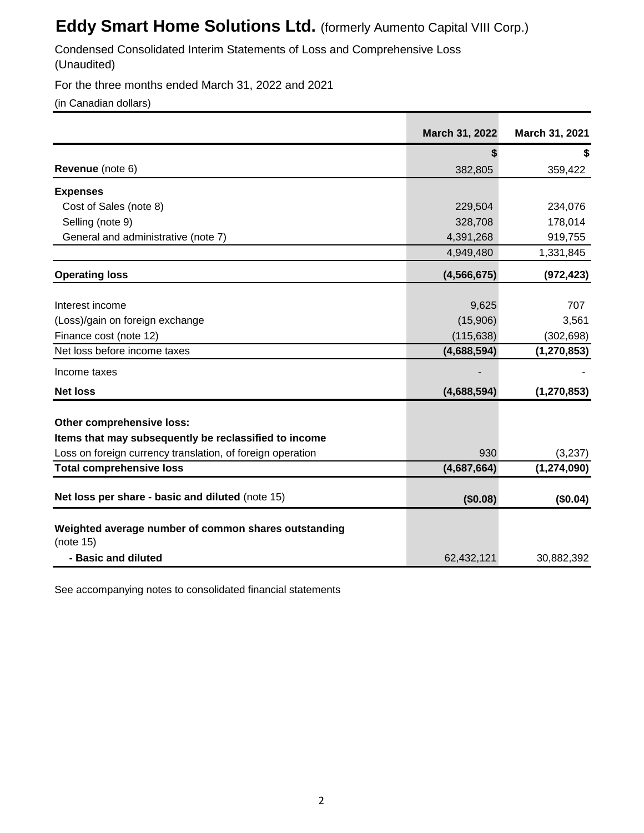Condensed Consolidated Interim Statements of Loss and Comprehensive Loss (Unaudited)

For the three months ended March 31, 2022 and 2021

(in Canadian dollars)

|                                                                                    | March 31, 2022 | March 31, 2021           |
|------------------------------------------------------------------------------------|----------------|--------------------------|
|                                                                                    |                | \$                       |
| Revenue (note 6)                                                                   | 382,805        | 359,422                  |
| <b>Expenses</b>                                                                    |                |                          |
| Cost of Sales (note 8)                                                             | 229,504        | 234,076                  |
| Selling (note 9)                                                                   | 328,708        | 178,014                  |
| General and administrative (note 7)                                                | 4,391,268      | 919,755                  |
|                                                                                    | 4,949,480      | 1,331,845                |
| <b>Operating loss</b>                                                              | (4, 566, 675)  | (972, 423)               |
|                                                                                    |                |                          |
| Interest income                                                                    | 9,625          | 707                      |
| (Loss)/gain on foreign exchange                                                    | (15,906)       | 3,561                    |
| Finance cost (note 12)                                                             | (115, 638)     | (302, 698)               |
| Net loss before income taxes                                                       | (4,688,594)    | (1, 270, 853)            |
| Income taxes                                                                       |                |                          |
| <b>Net loss</b>                                                                    | (4,688,594)    | (1, 270, 853)            |
|                                                                                    |                |                          |
| Other comprehensive loss:<br>Items that may subsequently be reclassified to income |                |                          |
| Loss on foreign currency translation, of foreign operation                         | 930            |                          |
| <b>Total comprehensive loss</b>                                                    | (4,687,664)    | (3,237)<br>(1, 274, 090) |
|                                                                                    |                |                          |
| Net loss per share - basic and diluted (note 15)                                   | (\$0.08)       | (\$0.04)                 |
| Weighted average number of common shares outstanding                               |                |                          |
| (note 15)                                                                          |                |                          |
| - Basic and diluted                                                                | 62,432,121     | 30,882,392               |

See accompanying notes to consolidated financial statements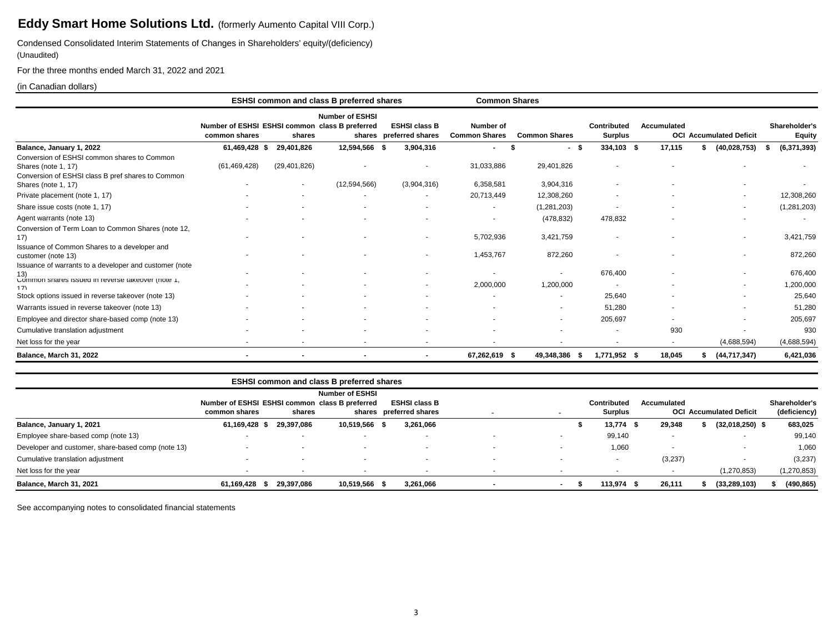Condensed Consolidated Interim Statements of Changes in Shareholders' equity/(deficiency) (Unaudited)

For the three months ended March 31, 2022 and 2021

### (in Canadian dollars)

|                                                                                                                            |                                                                 |                | <b>ESHSI common and class B preferred shares</b> |                                                 | <b>Common Shares</b>              |                      |                               |                    |                                |                                |
|----------------------------------------------------------------------------------------------------------------------------|-----------------------------------------------------------------|----------------|--------------------------------------------------|-------------------------------------------------|-----------------------------------|----------------------|-------------------------------|--------------------|--------------------------------|--------------------------------|
|                                                                                                                            | Number of ESHSI ESHSI common class B preferred<br>common shares | shares         | <b>Number of ESHSI</b>                           | <b>ESHSI class B</b><br>shares preferred shares | Number of<br><b>Common Shares</b> | <b>Common Shares</b> | Contributed<br><b>Surplus</b> | <b>Accumulated</b> | <b>OCI Accumulated Deficit</b> | Shareholder's<br><b>Equity</b> |
| Balance, January 1, 2022                                                                                                   | 61,469,428 \$                                                   | 29,401,826     | 12,594,566 \$                                    | 3,904,316                                       | $\overline{\phantom{a}}$          | - \$                 | 334,103 \$                    | 17,115             | (40,028,753)                   | (6, 371, 393)                  |
| Conversion of ESHSI common shares to Common<br>Shares (note 1, 17)<br>Conversion of ESHSI class B pref shares to Common    | (61, 469, 428)                                                  | (29, 401, 826) |                                                  |                                                 | 31,033,886                        | 29,401,826           |                               |                    |                                |                                |
| Shares (note 1, 17)                                                                                                        |                                                                 | $\sim$         | (12,594,566)                                     | (3,904,316)                                     | 6,358,581                         | 3,904,316            |                               |                    |                                |                                |
| Private placement (note 1, 17)                                                                                             |                                                                 |                |                                                  |                                                 | 20,713,449                        | 12,308,260           |                               |                    | ۰                              | 12,308,260                     |
| Share issue costs (note 1, 17)                                                                                             |                                                                 |                |                                                  |                                                 | $\overline{\phantom{a}}$          | (1, 281, 203)        |                               |                    | ۰.                             | (1,281,203)                    |
| Agent warrants (note 13)                                                                                                   |                                                                 |                |                                                  |                                                 |                                   | (478, 832)           | 478,832                       |                    | ۰                              | $\overline{\phantom{a}}$       |
| Conversion of Term Loan to Common Shares (note 12,<br>17)                                                                  |                                                                 |                |                                                  |                                                 | 5,702,936                         | 3,421,759            |                               |                    | ۰                              | 3,421,759                      |
| Issuance of Common Shares to a developer and<br>customer (note 13)                                                         |                                                                 |                |                                                  |                                                 | 1,453,767                         | 872,260              |                               |                    | ۰                              | 872,260                        |
| Issuance of warrants to a developer and customer (note<br>(13)<br>Common snares issued in reverse takeover (note 1,<br>17) |                                                                 |                |                                                  |                                                 | 2,000,000                         | 1,200,000            | 676,400                       |                    | ۰.                             | 676,400<br>1,200,000           |
| Stock options issued in reverse takeover (note 13)                                                                         |                                                                 |                |                                                  |                                                 |                                   |                      | 25,640                        |                    |                                | 25,640                         |
| Warrants issued in reverse takeover (note 13)                                                                              |                                                                 |                |                                                  |                                                 |                                   |                      | 51,280                        |                    |                                | 51,280                         |
| Employee and director share-based comp (note 13)                                                                           |                                                                 |                |                                                  |                                                 |                                   |                      | 205,697                       |                    |                                | 205,697                        |
| Cumulative translation adjustment                                                                                          |                                                                 |                |                                                  |                                                 |                                   |                      |                               | 930                |                                | 930                            |
| Net loss for the year                                                                                                      |                                                                 |                |                                                  |                                                 |                                   |                      |                               | $\sim$             | (4,688,594)                    | (4,688,594)                    |
| Balance, March 31, 2022                                                                                                    | $\blacksquare$                                                  |                | $\blacksquare$                                   | $\blacksquare$                                  | 67,262,619 \$                     | 49.348.386           | 1.771.952 \$<br>- 55          | 18,045             | (44,717,347)                   | 6,421,036                      |

|                                                    |                                                |            | <b>ESHSI common and class B preferred shares</b> |                         |                          |        |                          |                          |                                |               |
|----------------------------------------------------|------------------------------------------------|------------|--------------------------------------------------|-------------------------|--------------------------|--------|--------------------------|--------------------------|--------------------------------|---------------|
|                                                    |                                                |            | <b>Number of ESHSI</b>                           |                         |                          |        |                          |                          |                                |               |
|                                                    | Number of ESHSI ESHSI common class B preferred |            |                                                  | <b>ESHSI class B</b>    |                          |        | Contributed              | Accumulated              |                                | Shareholder's |
|                                                    | common shares                                  | shares     |                                                  | shares preferred shares |                          |        | Surplus                  |                          | <b>OCI Accumulated Deficit</b> | (deficiency)  |
| Balance, January 1, 2021                           | 61,169,428 \$                                  | 29.397.086 | 10,519,566 \$                                    | 3,261,066               |                          |        | $13,774$ \$              | 29,348                   | $(32,018,250)$ \$              | 683,025       |
| Employee share-based comp (note 13)                |                                                |            |                                                  |                         |                          |        | 99,140                   |                          |                                | 99,140        |
| Developer and customer, share-based comp (note 13) |                                                |            |                                                  |                         |                          |        | 1,060                    | $\overline{\phantom{a}}$ |                                | 1,060         |
| Cumulative translation adjustment                  | $\overline{\phantom{a}}$                       |            | $\sim$                                           | $\sim$                  | $\overline{\phantom{a}}$ |        | $\overline{\phantom{a}}$ | (3,237)                  | ٠                              | (3,237)       |
| Net loss for the year                              |                                                |            |                                                  |                         |                          |        |                          | $\overline{\phantom{a}}$ | (1, 270, 853)                  | (1, 270, 853) |
| Balance, March 31, 2021                            | 61,169,428<br>- 55                             | 29,397,086 | 10,519,566 \$                                    | 3,261,066               |                          | $\sim$ | 113,974 \$               | 26,111                   | (33, 289, 103)                 | (490, 865)    |

See accompanying notes to consolidated financial statements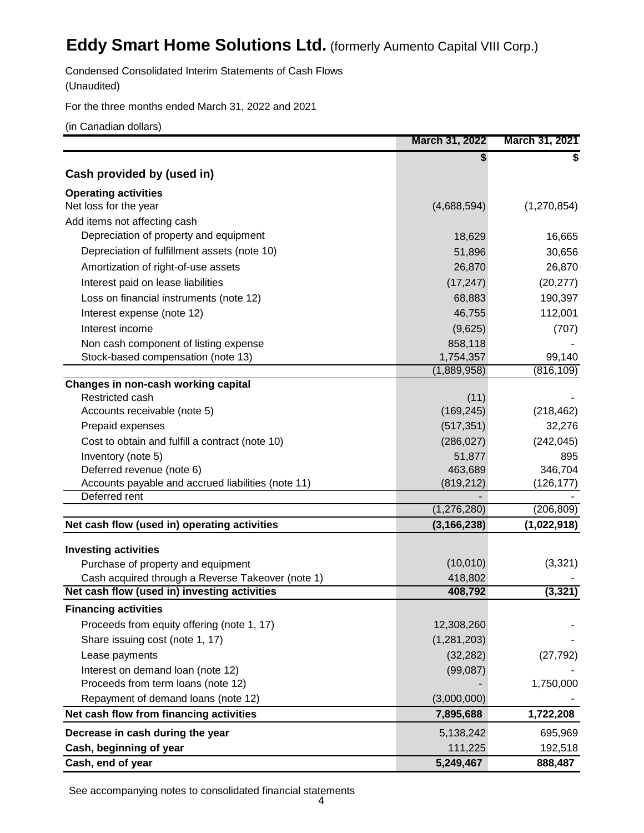Condensed Consolidated Interim Statements of Cash Flows

(Unaudited)

For the three months ended March 31, 2022 and 2021

(in Canadian dollars)

|                                                                                 | March 31, 2022        | March 31, 2021        |
|---------------------------------------------------------------------------------|-----------------------|-----------------------|
|                                                                                 | S                     |                       |
| Cash provided by (used in)                                                      |                       |                       |
| <b>Operating activities</b>                                                     |                       |                       |
| Net loss for the year                                                           | (4,688,594)           | (1,270,854)           |
| Add items not affecting cash                                                    |                       |                       |
| Depreciation of property and equipment                                          | 18,629                | 16,665                |
| Depreciation of fulfillment assets (note 10)                                    | 51,896                | 30,656                |
| Amortization of right-of-use assets                                             | 26,870                | 26,870                |
| Interest paid on lease liabilities                                              | (17, 247)             | (20, 277)             |
| Loss on financial instruments (note 12)                                         | 68,883                | 190,397               |
| Interest expense (note 12)                                                      | 46,755                | 112,001               |
| Interest income                                                                 | (9,625)               | (707)                 |
| Non cash component of listing expense                                           | 858,118               |                       |
| Stock-based compensation (note 13)                                              | 1,754,357             | 99,140                |
|                                                                                 | (1,889,958)           | (816, 109)            |
| Changes in non-cash working capital                                             |                       |                       |
| Restricted cash                                                                 | (11)                  |                       |
| Accounts receivable (note 5)                                                    | (169, 245)            | (218, 462)            |
| Prepaid expenses                                                                | (517, 351)            | 32,276                |
| Cost to obtain and fulfill a contract (note 10)                                 | (286, 027)            | (242, 045)            |
| Inventory (note 5)                                                              | 51,877                | 895                   |
| Deferred revenue (note 6)<br>Accounts payable and accrued liabilities (note 11) | 463,689<br>(819, 212) | 346,704<br>(126, 177) |
| Deferred rent                                                                   |                       |                       |
|                                                                                 | (1,276,280)           | (206, 809)            |
| Net cash flow (used in) operating activities                                    | (3, 166, 238)         | (1,022,918)           |
|                                                                                 |                       |                       |
| <b>Investing activities</b><br>Purchase of property and equipment               | (10, 010)             | (3,321)               |
| Cash acquired through a Reverse Takeover (note 1)                               | 418,802               |                       |
| Net cash flow (used in) investing activities                                    | 408,792               | (3, 321)              |
| <b>Financing activities</b>                                                     |                       |                       |
| Proceeds from equity offering (note 1, 17)                                      | 12,308,260            |                       |
| Share issuing cost (note 1, 17)                                                 | (1,281,203)           |                       |
| Lease payments                                                                  | (32, 282)             | (27, 792)             |
| Interest on demand loan (note 12)                                               | (99,087)              |                       |
| Proceeds from term loans (note 12)                                              |                       | 1,750,000             |
| Repayment of demand loans (note 12)                                             | (3,000,000)           |                       |
| Net cash flow from financing activities                                         | 7,895,688             | 1,722,208             |
| Decrease in cash during the year                                                | 5,138,242             | 695,969               |
| Cash, beginning of year                                                         | 111,225               | 192,518               |
| Cash, end of year                                                               | 5,249,467             | 888,487               |
|                                                                                 |                       |                       |

See accompanying notes to consolidated financial statements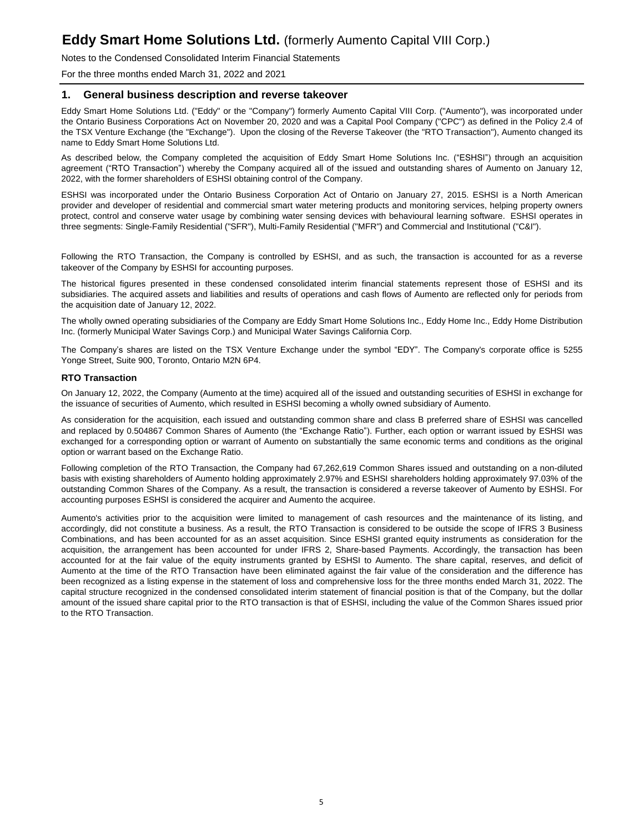Notes to the Condensed Consolidated Interim Financial Statements

For the three months ended March 31, 2022 and 2021

### **1. General business description and reverse takeover**

Eddy Smart Home Solutions Ltd. ("Eddy" or the "Company") formerly Aumento Capital VIII Corp. ("Aumento"), was incorporated under the Ontario Business Corporations Act on November 20, 2020 and was a Capital Pool Company ("CPC") as defined in the Policy 2.4 of the TSX Venture Exchange (the "Exchange"). Upon the closing of the Reverse Takeover (the "RTO Transaction"), Aumento changed its name to Eddy Smart Home Solutions Ltd.

As described below, the Company completed the acquisition of Eddy Smart Home Solutions Inc. ("ESHSI") through an acquisition agreement ("RTO Transaction") whereby the Company acquired all of the issued and outstanding shares of Aumento on January 12, 2022, with the former shareholders of ESHSI obtaining control of the Company.

ESHSI was incorporated under the Ontario Business Corporation Act of Ontario on January 27, 2015. ESHSI is a North American provider and developer of residential and commercial smart water metering products and monitoring services, helping property owners protect, control and conserve water usage by combining water sensing devices with behavioural learning software. ESHSI operates in three segments: Single-Family Residential ("SFR"), Multi-Family Residential ("MFR") and Commercial and Institutional ("C&I").

Following the RTO Transaction, the Company is controlled by ESHSI, and as such, the transaction is accounted for as a reverse takeover of the Company by ESHSI for accounting purposes.

The historical figures presented in these condensed consolidated interim financial statements represent those of ESHSI and its subsidiaries. The acquired assets and liabilities and results of operations and cash flows of Aumento are reflected only for periods from the acquisition date of January 12, 2022.

The wholly owned operating subsidiaries of the Company are Eddy Smart Home Solutions Inc., Eddy Home Inc., Eddy Home Distribution Inc. (formerly Municipal Water Savings Corp.) and Municipal Water Savings California Corp.

The Company's shares are listed on the TSX Venture Exchange under the symbol "EDY". The Company's corporate office is 5255 Yonge Street, Suite 900, Toronto, Ontario M2N 6P4.

#### **RTO Transaction**

On January 12, 2022, the Company (Aumento at the time) acquired all of the issued and outstanding securities of ESHSI in exchange for the issuance of securities of Aumento, which resulted in ESHSI becoming a wholly owned subsidiary of Aumento.

As consideration for the acquisition, each issued and outstanding common share and class B preferred share of ESHSI was cancelled and replaced by 0.504867 Common Shares of Aumento (the "Exchange Ratio"). Further, each option or warrant issued by ESHSI was exchanged for a corresponding option or warrant of Aumento on substantially the same economic terms and conditions as the original option or warrant based on the Exchange Ratio.

Following completion of the RTO Transaction, the Company had 67,262,619 Common Shares issued and outstanding on a non-diluted basis with existing shareholders of Aumento holding approximately 2.97% and ESHSI shareholders holding approximately 97.03% of the outstanding Common Shares of the Company. As a result, the transaction is considered a reverse takeover of Aumento by ESHSI. For accounting purposes ESHSI is considered the acquirer and Aumento the acquiree.

Aumento's activities prior to the acquisition were limited to management of cash resources and the maintenance of its listing, and accordingly, did not constitute a business. As a result, the RTO Transaction is considered to be outside the scope of IFRS 3 Business Combinations, and has been accounted for as an asset acquisition. Since ESHSI granted equity instruments as consideration for the acquisition, the arrangement has been accounted for under IFRS 2, Share-based Payments. Accordingly, the transaction has been accounted for at the fair value of the equity instruments granted by ESHSI to Aumento. The share capital, reserves, and deficit of Aumento at the time of the RTO Transaction have been eliminated against the fair value of the consideration and the difference has been recognized as a listing expense in the statement of loss and comprehensive loss for the three months ended March 31, 2022. The capital structure recognized in the condensed consolidated interim statement of financial position is that of the Company, but the dollar amount of the issued share capital prior to the RTO transaction is that of ESHSI, including the value of the Common Shares issued prior to the RTO Transaction.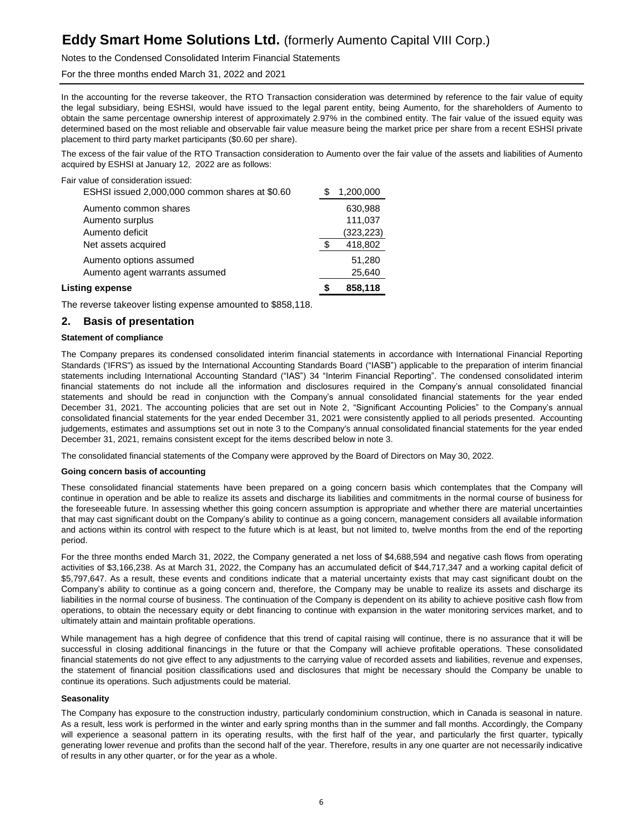Notes to the Condensed Consolidated Interim Financial Statements

For the three months ended March 31, 2022 and 2021

In the accounting for the reverse takeover, the RTO Transaction consideration was determined by reference to the fair value of equity the legal subsidiary, being ESHSI, would have issued to the legal parent entity, being Aumento, for the shareholders of Aumento to obtain the same percentage ownership interest of approximately 2.97% in the combined entity. The fair value of the issued equity was determined based on the most reliable and observable fair value measure being the market price per share from a recent ESHSI private placement to third party market participants (\$0.60 per share).

The excess of the fair value of the RTO Transaction consideration to Aumento over the fair value of the assets and liabilities of Aumento acquired by ESHSI at January 12, 2022 are as follows:

Fair value of consideration issued:

| Listing expense                                           | 858,118          |
|-----------------------------------------------------------|------------------|
| Aumento options assumed<br>Aumento agent warrants assumed | 51,280<br>25,640 |
| Net assets acquired                                       | 418,802          |
| Aumento deficit                                           | (323, 223)       |
| Aumento surplus                                           | 111,037          |
| Aumento common shares                                     | 630,988          |
| ESHSI issued 2,000,000 common shares at \$0.60            | 1,200,000        |

The reverse takeover listing expense amounted to \$858,118.

### **2. Basis of presentation**

#### **Statement of compliance**

The Company prepares its condensed consolidated interim financial statements in accordance with International Financial Reporting Standards ('IFRS") as issued by the International Accounting Standards Board ("IASB") applicable to the preparation of interim financial statements including International Accounting Standard ("IAS") 34 "Interim Financial Reporting". The condensed consolidated interim financial statements do not include all the information and disclosures required in the Company's annual consolidated financial statements and should be read in conjunction with the Company's annual consolidated financial statements for the year ended December 31, 2021. The accounting policies that are set out in Note 2, "Significant Accounting Policies" to the Company's annual consolidated financial statements for the year ended December 31, 2021 were consistently applied to all periods presented. Accounting judgements, estimates and assumptions set out in note 3 to the Company's annual consolidated financial statements for the year ended December 31, 2021, remains consistent except for the items described below in note 3.

The consolidated financial statements of the Company were approved by the Board of Directors on May 30, 2022.

#### **Going concern basis of accounting**

These consolidated financial statements have been prepared on a going concern basis which contemplates that the Company will continue in operation and be able to realize its assets and discharge its liabilities and commitments in the normal course of business for the foreseeable future. In assessing whether this going concern assumption is appropriate and whether there are material uncertainties that may cast significant doubt on the Company's ability to continue as a going concern, management considers all available information and actions within its control with respect to the future which is at least, but not limited to, twelve months from the end of the reporting period.

For the three months ended March 31, 2022, the Company generated a net loss of \$4,688,594 and negative cash flows from operating activities of \$3,166,238. As at March 31, 2022, the Company has an accumulated deficit of \$44,717,347 and a working capital deficit of \$5,797,647. As a result, these events and conditions indicate that a material uncertainty exists that may cast significant doubt on the Company's ability to continue as a going concern and, therefore, the Company may be unable to realize its assets and discharge its liabilities in the normal course of business. The continuation of the Company is dependent on its ability to achieve positive cash flow from operations, to obtain the necessary equity or debt financing to continue with expansion in the water monitoring services market, and to ultimately attain and maintain profitable operations.

While management has a high degree of confidence that this trend of capital raising will continue, there is no assurance that it will be successful in closing additional financings in the future or that the Company will achieve profitable operations. These consolidated financial statements do not give effect to any adjustments to the carrying value of recorded assets and liabilities, revenue and expenses, the statement of financial position classifications used and disclosures that might be necessary should the Company be unable to continue its operations. Such adjustments could be material.

#### **Seasonality**

The Company has exposure to the construction industry, particularly condominium construction, which in Canada is seasonal in nature. As a result, less work is performed in the winter and early spring months than in the summer and fall months. Accordingly, the Company will experience a seasonal pattern in its operating results, with the first half of the year, and particularly the first quarter, typically generating lower revenue and profits than the second half of the year. Therefore, results in any one quarter are not necessarily indicative of results in any other quarter, or for the year as a whole.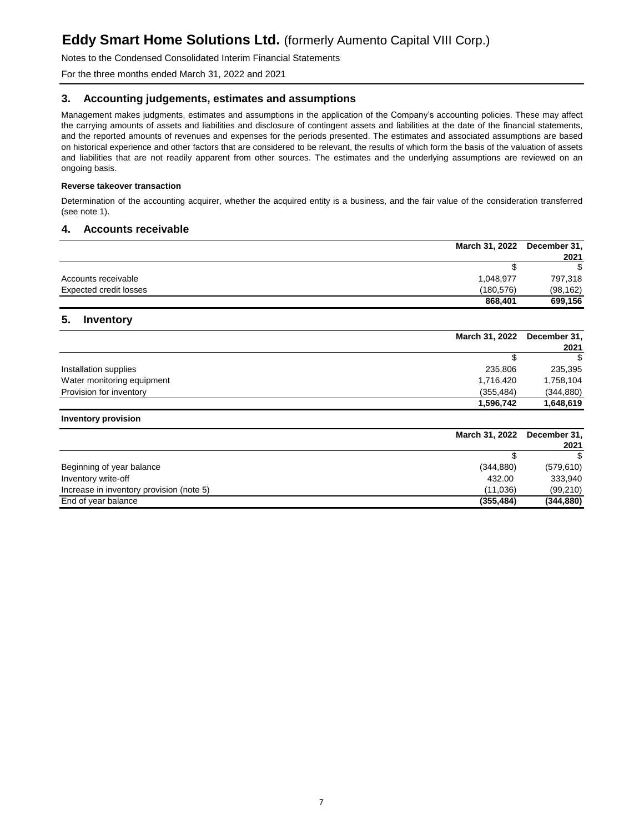Notes to the Condensed Consolidated Interim Financial Statements

For the three months ended March 31, 2022 and 2021

### **3. Accounting judgements, estimates and assumptions**

Management makes judgments, estimates and assumptions in the application of the Company's accounting policies. These may affect the carrying amounts of assets and liabilities and disclosure of contingent assets and liabilities at the date of the financial statements, and the reported amounts of revenues and expenses for the periods presented. The estimates and associated assumptions are based on historical experience and other factors that are considered to be relevant, the results of which form the basis of the valuation of assets and liabilities that are not readily apparent from other sources. The estimates and the underlying assumptions are reviewed on an ongoing basis.

### **Reverse takeover transaction**

Determination of the accounting acquirer, whether the acquired entity is a business, and the fair value of the consideration transferred (see note 1).

### **4. Accounts receivable**

|                        | March 31, 2022 | December 31, |
|------------------------|----------------|--------------|
|                        |                | 2021         |
|                        |                | \$.          |
| Accounts receivable    | 1,048,977      | 797,318      |
| Expected credit losses | (180, 576)     | (98, 162)    |
|                        | 868,401        | 699,156      |

### **5. Inventory**

|                            | March 31, 2022 December 31, |            |
|----------------------------|-----------------------------|------------|
|                            |                             | 2021       |
|                            |                             | \$.        |
| Installation supplies      | 235,806                     | 235,395    |
| Water monitoring equipment | 1,716,420                   | 1,758,104  |
| Provision for inventory    | (355, 484)                  | (344, 880) |
|                            | 1,596,742                   | 1,648,619  |

#### **Inventory provision**

| March 31, 2022                                       | December 31, |
|------------------------------------------------------|--------------|
|                                                      | 2021         |
|                                                      | \$.          |
| Beginning of year balance<br>(344, 880)              | (579, 610)   |
| Inventory write-off<br>432.00                        | 333,940      |
| Increase in inventory provision (note 5)<br>(11,036) | (99,210)     |
| End of year balance<br>(355, 484)                    | (344, 880)   |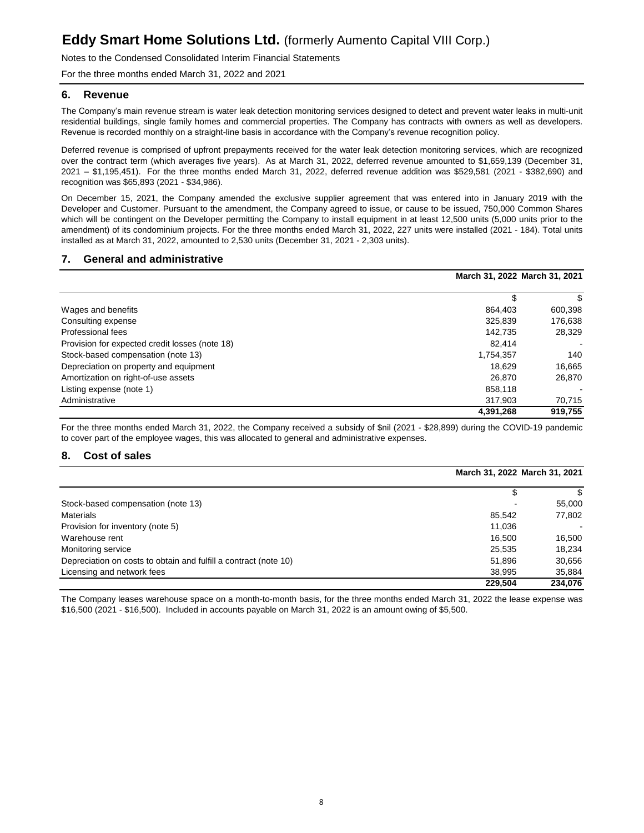Notes to the Condensed Consolidated Interim Financial Statements

For the three months ended March 31, 2022 and 2021

### **6. Revenue**

The Company's main revenue stream is water leak detection monitoring services designed to detect and prevent water leaks in multi-unit residential buildings, single family homes and commercial properties. The Company has contracts with owners as well as developers. Revenue is recorded monthly on a straight-line basis in accordance with the Company's revenue recognition policy.

Deferred revenue is comprised of upfront prepayments received for the water leak detection monitoring services, which are recognized over the contract term (which averages five years). As at March 31, 2022, deferred revenue amounted to \$1,659,139 (December 31, 2021 – \$1,195,451). For the three months ended March 31, 2022, deferred revenue addition was \$529,581 (2021 - \$382,690) and recognition was \$65,893 (2021 - \$34,986).

On December 15, 2021, the Company amended the exclusive supplier agreement that was entered into in January 2019 with the Developer and Customer. Pursuant to the amendment, the Company agreed to issue, or cause to be issued, 750,000 Common Shares which will be contingent on the Developer permitting the Company to install equipment in at least 12,500 units (5,000 units prior to the amendment) of its condominium projects. For the three months ended March 31, 2022, 227 units were installed (2021 - 184). Total units installed as at March 31, 2022, amounted to 2,530 units (December 31, 2021 - 2,303 units).

### **7. General and administrative**

|                                                |           | March 31, 2022 March 31, 2021 |
|------------------------------------------------|-----------|-------------------------------|
|                                                | \$        |                               |
| Wages and benefits                             | 864.403   | 600,398                       |
| Consulting expense                             | 325,839   | 176,638                       |
| Professional fees                              | 142.735   | 28,329                        |
| Provision for expected credit losses (note 18) | 82.414    |                               |
| Stock-based compensation (note 13)             | 1,754,357 | 140                           |
| Depreciation on property and equipment         | 18.629    | 16,665                        |
| Amortization on right-of-use assets            | 26.870    | 26,870                        |
| Listing expense (note 1)                       | 858.118   |                               |
| Administrative                                 | 317.903   | 70,715                        |
|                                                | 4,391,268 | 919.755                       |

For the three months ended March 31, 2022, the Company received a subsidy of \$nil (2021 - \$28,899) during the COVID-19 pandemic to cover part of the employee wages, this was allocated to general and administrative expenses.

### **8. Cost of sales**

|                                                                  |         | March 31, 2022 March 31, 2021 |
|------------------------------------------------------------------|---------|-------------------------------|
|                                                                  |         | S                             |
| Stock-based compensation (note 13)                               |         | 55,000                        |
| <b>Materials</b>                                                 | 85.542  | 77,802                        |
| Provision for inventory (note 5)                                 | 11.036  |                               |
| Warehouse rent                                                   | 16.500  | 16,500                        |
| Monitoring service                                               | 25,535  | 18.234                        |
| Depreciation on costs to obtain and fulfill a contract (note 10) | 51,896  | 30,656                        |
| Licensing and network fees                                       | 38.995  | 35,884                        |
|                                                                  | 229.504 | 234.076                       |

The Company leases warehouse space on a month-to-month basis, for the three months ended March 31, 2022 the lease expense was \$16,500 (2021 - \$16,500). Included in accounts payable on March 31, 2022 is an amount owing of \$5,500.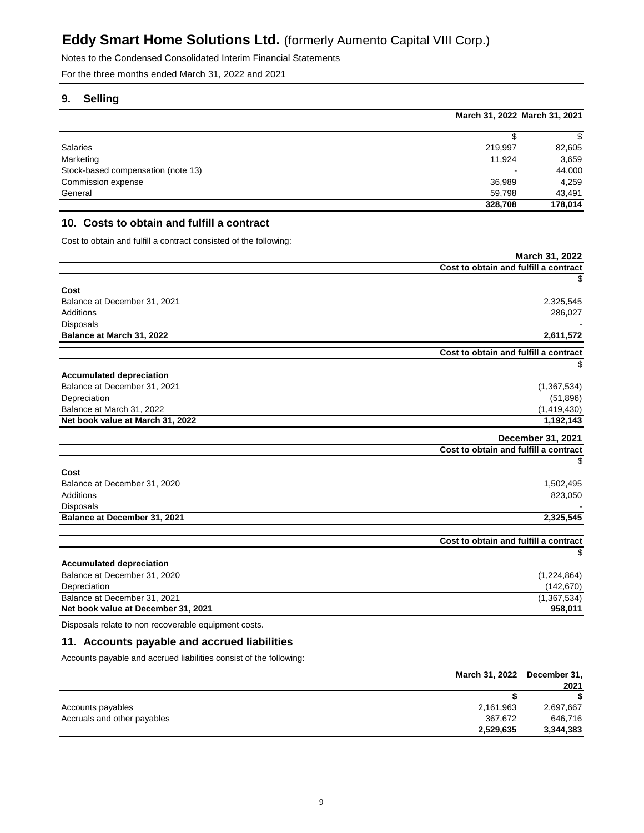Notes to the Condensed Consolidated Interim Financial Statements

For the three months ended March 31, 2022 and 2021

## **9. Selling**

|                                    | March 31, 2022 March 31, 2021 |         |
|------------------------------------|-------------------------------|---------|
|                                    |                               | S       |
| Salaries                           | 219,997                       | 82,605  |
| Marketing                          | 11,924                        | 3,659   |
| Stock-based compensation (note 13) |                               | 44,000  |
| Commission expense                 | 36,989                        | 4.259   |
| General                            | 59.798                        | 43,491  |
|                                    | 328,708                       | 178,014 |

### **10. Costs to obtain and fulfill a contract**

Cost to obtain and fulfill a contract consisted of the following:

|                                                                                    | March 31, 2022                        |
|------------------------------------------------------------------------------------|---------------------------------------|
|                                                                                    | Cost to obtain and fulfill a contract |
|                                                                                    | \$                                    |
| Cost                                                                               |                                       |
| Balance at December 31, 2021                                                       | 2,325,545                             |
| <b>Additions</b>                                                                   | 286,027                               |
| <b>Disposals</b>                                                                   |                                       |
| Balance at March 31, 2022                                                          | 2,611,572                             |
|                                                                                    | Cost to obtain and fulfill a contract |
|                                                                                    | S                                     |
| <b>Accumulated depreciation</b>                                                    |                                       |
| Balance at December 31, 2021                                                       | (1, 367, 534)                         |
| Depreciation                                                                       | (51, 896)                             |
| Balance at March 31, 2022                                                          | (1,419,430)                           |
| Net book value at March 31, 2022                                                   | 1,192,143                             |
|                                                                                    | December 31, 2021                     |
|                                                                                    | Cost to obtain and fulfill a contract |
|                                                                                    | \$                                    |
| Cost                                                                               |                                       |
| Balance at December 31, 2020                                                       | 1,502,495                             |
| <b>Additions</b>                                                                   | 823,050                               |
| Disposals                                                                          |                                       |
| Balance at December 31, 2021                                                       | 2,325,545                             |
|                                                                                    |                                       |
|                                                                                    | Cost to obtain and fulfill a contract |
|                                                                                    | \$                                    |
| <b>Accumulated depreciation</b>                                                    |                                       |
| Balance at December 31, 2020                                                       | (1,224,864)                           |
| Depreciation                                                                       | (142, 670)                            |
| Balance at December 31, 2021                                                       | (1,367,534)                           |
| Net book value at December 31, 2021                                                | 958,011                               |
| Potence and the product of the production<br>the company of the company of the co- |                                       |

Disposals relate to non recoverable equipment costs.

## **11. Accounts payable and accrued liabilities**

Accounts payable and accrued liabilities consist of the following:

|                             |           | March 31, 2022 December 31, |
|-----------------------------|-----------|-----------------------------|
|                             |           | 2021                        |
|                             |           |                             |
| Accounts payables           | 2,161,963 | 2,697,667                   |
| Accruals and other payables | 367.672   | 646.716                     |
|                             | 2,529,635 | 3,344,383                   |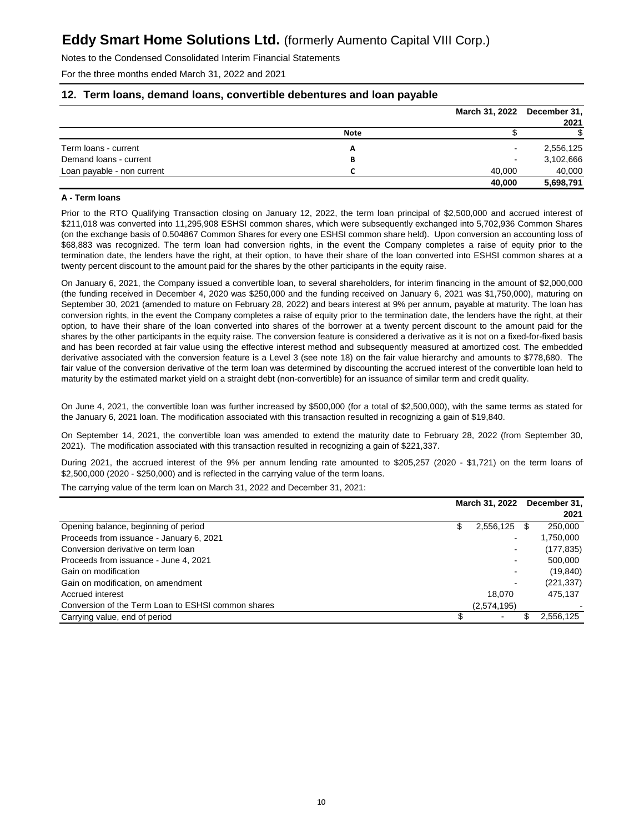Notes to the Condensed Consolidated Interim Financial Statements

For the three months ended March 31, 2022 and 2021

### **12. Term loans, demand loans, convertible debentures and loan payable**

|                            |             | March 31, 2022 December 31, | 2021      |
|----------------------------|-------------|-----------------------------|-----------|
|                            | <b>Note</b> |                             |           |
| Term loans - current       | А           |                             | 2,556,125 |
| Demand loans - current     | В           |                             | 3,102,666 |
| Loan payable - non current |             | 40.000                      | 40,000    |
|                            |             | 40,000                      | 5,698,791 |

### **A - Term loans**

Prior to the RTO Qualifying Transaction closing on January 12, 2022, the term loan principal of \$2,500,000 and accrued interest of \$211,018 was converted into 11,295,908 ESHSI common shares, which were subsequently exchanged into 5,702,936 Common Shares (on the exchange basis of 0.504867 Common Shares for every one ESHSI common share held). Upon conversion an accounting loss of \$68,883 was recognized. The term loan had conversion rights, in the event the Company completes a raise of equity prior to the termination date, the lenders have the right, at their option, to have their share of the loan converted into ESHSI common shares at a twenty percent discount to the amount paid for the shares by the other participants in the equity raise.

On January 6, 2021, the Company issued a convertible loan, to several shareholders, for interim financing in the amount of \$2,000,000 (the funding received in December 4, 2020 was \$250,000 and the funding received on January 6, 2021 was \$1,750,000), maturing on September 30, 2021 (amended to mature on February 28, 2022) and bears interest at 9% per annum, payable at maturity. The loan has conversion rights, in the event the Company completes a raise of equity prior to the termination date, the lenders have the right, at their option, to have their share of the loan converted into shares of the borrower at a twenty percent discount to the amount paid for the shares by the other participants in the equity raise. The conversion feature is considered a derivative as it is not on a fixed-for-fixed basis and has been recorded at fair value using the effective interest method and subsequently measured at amortized cost. The embedded derivative associated with the conversion feature is a Level 3 (see note 18) on the fair value hierarchy and amounts to \$778,680. The fair value of the conversion derivative of the term loan was determined by discounting the accrued interest of the convertible loan held to maturity by the estimated market yield on a straight debt (non-convertible) for an issuance of similar term and credit quality.

On June 4, 2021, the convertible loan was further increased by \$500,000 (for a total of \$2,500,000), with the same terms as stated for the January 6, 2021 loan. The modification associated with this transaction resulted in recognizing a gain of \$19,840.

On September 14, 2021, the convertible loan was amended to extend the maturity date to February 28, 2022 (from September 30, 2021). The modification associated with this transaction resulted in recognizing a gain of \$221,337.

During 2021, the accrued interest of the 9% per annum lending rate amounted to \$205,257 (2020 - \$1,721) on the term loans of \$2,500,000 (2020 - \$250,000) and is reflected in the carrying value of the term loans.

The carrying value of the term loan on March 31, 2022 and December 31, 2021:

|                                                    | March 31, 2022 |             |   | December 31, |
|----------------------------------------------------|----------------|-------------|---|--------------|
|                                                    |                |             |   | 2021         |
| Opening balance, beginning of period               | S              | 2,556,125   | S | 250,000      |
| Proceeds from issuance - January 6, 2021           |                |             |   | 1,750,000    |
| Conversion derivative on term loan                 |                |             |   | (177, 835)   |
| Proceeds from issuance - June 4, 2021              |                |             |   | 500,000      |
| Gain on modification                               |                |             |   | (19, 840)    |
| Gain on modification, on amendment                 |                |             |   | (221, 337)   |
| Accrued interest                                   |                | 18.070      |   | 475.137      |
| Conversion of the Term Loan to ESHSI common shares |                | (2,574,195) |   |              |
| Carrying value, end of period                      |                |             |   | 2,556,125    |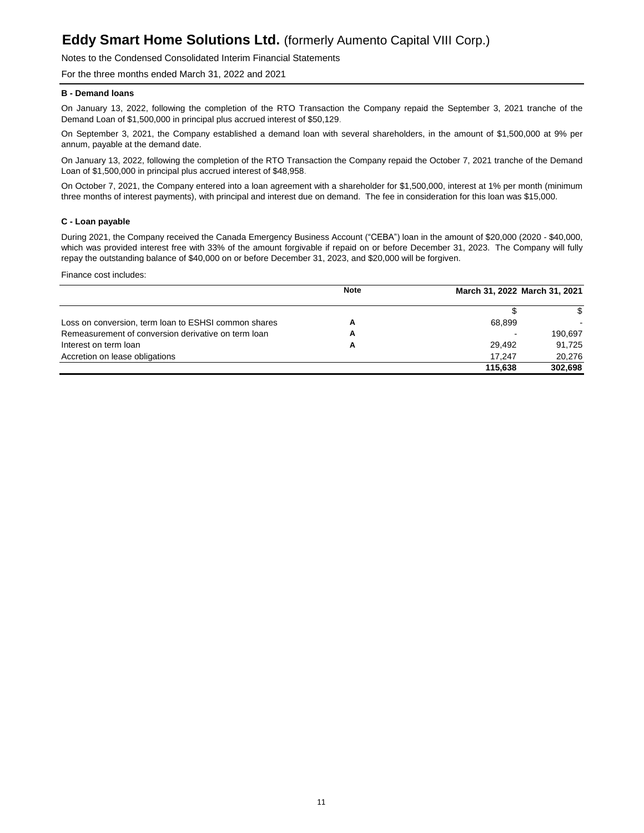Notes to the Condensed Consolidated Interim Financial Statements

For the three months ended March 31, 2022 and 2021

#### **B - Demand loans**

On January 13, 2022, following the completion of the RTO Transaction the Company repaid the September 3, 2021 tranche of the Demand Loan of \$1,500,000 in principal plus accrued interest of \$50,129.

On September 3, 2021, the Company established a demand loan with several shareholders, in the amount of \$1,500,000 at 9% per annum, payable at the demand date.

On January 13, 2022, following the completion of the RTO Transaction the Company repaid the October 7, 2021 tranche of the Demand Loan of \$1,500,000 in principal plus accrued interest of \$48,958.

On October 7, 2021, the Company entered into a loan agreement with a shareholder for \$1,500,000, interest at 1% per month (minimum three months of interest payments), with principal and interest due on demand. The fee in consideration for this loan was \$15,000.

#### **C - Loan payable**

During 2021, the Company received the Canada Emergency Business Account ("CEBA") loan in the amount of \$20,000 (2020 - \$40,000, which was provided interest free with 33% of the amount forgivable if repaid on or before December 31, 2023. The Company will fully repay the outstanding balance of \$40,000 on or before December 31, 2023, and \$20,000 will be forgiven.

Finance cost includes:

|                                                      | <b>Note</b> | March 31, 2022 March 31, 2021 |         |
|------------------------------------------------------|-------------|-------------------------------|---------|
|                                                      |             |                               | S.      |
| Loss on conversion, term loan to ESHSI common shares | А           | 68.899                        |         |
| Remeasurement of conversion derivative on term loan  | А           |                               | 190.697 |
| Interest on term loan                                | А           | 29.492                        | 91.725  |
| Accretion on lease obligations                       |             | 17.247                        | 20.276  |
|                                                      |             | 115.638                       | 302.698 |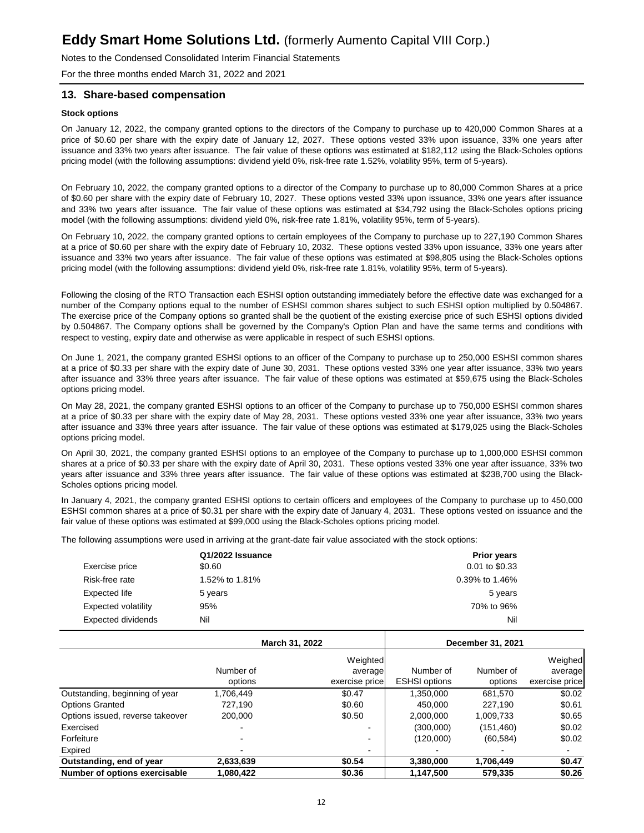Notes to the Condensed Consolidated Interim Financial Statements

For the three months ended March 31, 2022 and 2021

### **13. Share-based compensation**

#### **Stock options**

On January 12, 2022, the company granted options to the directors of the Company to purchase up to 420,000 Common Shares at a price of \$0.60 per share with the expiry date of January 12, 2027. These options vested 33% upon issuance, 33% one years after issuance and 33% two years after issuance. The fair value of these options was estimated at \$182,112 using the Black-Scholes options pricing model (with the following assumptions: dividend yield 0%, risk-free rate 1.52%, volatility 95%, term of 5-years).

On February 10, 2022, the company granted options to a director of the Company to purchase up to 80,000 Common Shares at a price of \$0.60 per share with the expiry date of February 10, 2027. These options vested 33% upon issuance, 33% one years after issuance and 33% two years after issuance. The fair value of these options was estimated at \$34,792 using the Black-Scholes options pricing model (with the following assumptions: dividend yield 0%, risk-free rate 1.81%, volatility 95%, term of 5-years).

On February 10, 2022, the company granted options to certain employees of the Company to purchase up to 227,190 Common Shares at a price of \$0.60 per share with the expiry date of February 10, 2032. These options vested 33% upon issuance, 33% one years after issuance and 33% two years after issuance. The fair value of these options was estimated at \$98,805 using the Black-Scholes options pricing model (with the following assumptions: dividend yield 0%, risk-free rate 1.81%, volatility 95%, term of 5-years).

Following the closing of the RTO Transaction each ESHSI option outstanding immediately before the effective date was exchanged for a number of the Company options equal to the number of ESHSI common shares subject to such ESHSI option multiplied by 0.504867. The exercise price of the Company options so granted shall be the quotient of the existing exercise price of such ESHSI options divided by 0.504867. The Company options shall be governed by the Company's Option Plan and have the same terms and conditions with respect to vesting, expiry date and otherwise as were applicable in respect of such ESHSI options.

On June 1, 2021, the company granted ESHSI options to an officer of the Company to purchase up to 250,000 ESHSI common shares at a price of \$0.33 per share with the expiry date of June 30, 2031. These options vested 33% one year after issuance, 33% two years after issuance and 33% three years after issuance. The fair value of these options was estimated at \$59,675 using the Black-Scholes options pricing model.

On May 28, 2021, the company granted ESHSI options to an officer of the Company to purchase up to 750,000 ESHSI common shares at a price of \$0.33 per share with the expiry date of May 28, 2031. These options vested 33% one year after issuance, 33% two years after issuance and 33% three years after issuance. The fair value of these options was estimated at \$179,025 using the Black-Scholes options pricing model.

On April 30, 2021, the company granted ESHSI options to an employee of the Company to purchase up to 1,000,000 ESHSI common shares at a price of \$0.33 per share with the expiry date of April 30, 2031. These options vested 33% one year after issuance, 33% two years after issuance and 33% three years after issuance. The fair value of these options was estimated at \$238,700 using the Black-Scholes options pricing model.

In January 4, 2021, the company granted ESHSI options to certain officers and employees of the Company to purchase up to 450,000 ESHSI common shares at a price of \$0.31 per share with the expiry date of January 4, 2031. These options vested on issuance and the fair value of these options was estimated at \$99,000 using the Black-Scholes options pricing model.

The following assumptions were used in arriving at the grant-date fair value associated with the stock options:

|                     | Q1/2022 Issuance<br>\$0.60 | <b>Prior years</b><br>0.01 to \$0.33 |
|---------------------|----------------------------|--------------------------------------|
| Exercise price      |                            |                                      |
| Risk-free rate      | 1.52% to 1.81%             | 0.39% to 1.46%                       |
| Expected life       | 5 years                    | 5 years                              |
| Expected volatility | 95%                        | 70% to 96%                           |
| Expected dividends  | Nil                        | Nil                                  |

|                                  | March 31, 2022       |                                       | December 31, 2021                 |                      |                                      |
|----------------------------------|----------------------|---------------------------------------|-----------------------------------|----------------------|--------------------------------------|
|                                  | Number of<br>options | Weighted<br>average<br>exercise price | Number of<br><b>ESHSI options</b> | Number of<br>options | Weighed<br>average<br>exercise price |
| Outstanding, beginning of year   | 1,706,449            | \$0.47                                | 1,350,000                         | 681.570              | \$0.02                               |
| <b>Options Granted</b>           | 727.190              | \$0.60                                | 450.000                           | 227.190              | \$0.61                               |
| Options issued, reverse takeover | 200.000              | \$0.50                                | 2,000,000                         | 1,009,733            | \$0.65                               |
| Exercised                        |                      |                                       | (300,000)                         | (151, 460)           | \$0.02                               |
| Forfeiture                       |                      |                                       | (120,000)                         | (60, 584)            | \$0.02                               |
| Expired                          |                      |                                       |                                   |                      |                                      |
| Outstanding, end of year         | 2,633,639            | \$0.54                                | 3,380,000                         | 1,706,449            | \$0.47                               |
| Number of options exercisable    | 1,080,422            | \$0.36                                | 1,147,500                         | 579.335              | \$0.26                               |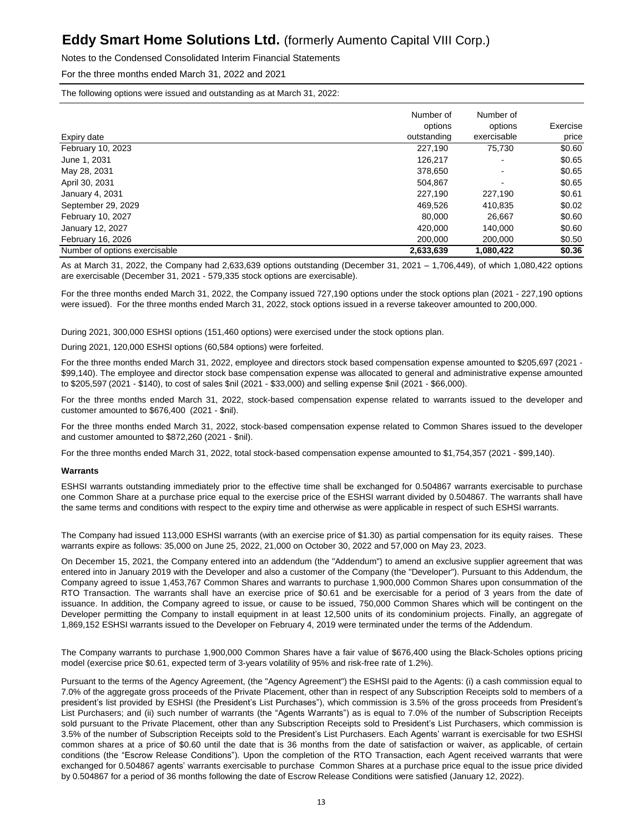Notes to the Condensed Consolidated Interim Financial Statements

For the three months ended March 31, 2022 and 2021

The following options were issued and outstanding as at March 31, 2022:

| Expiry date                   | Number of<br>options<br>outstanding | Number of<br>options<br>exercisable | Exercise<br>price |
|-------------------------------|-------------------------------------|-------------------------------------|-------------------|
| February 10, 2023             | 227,190                             | 75,730                              | \$0.60            |
| June 1, 2031                  | 126.217                             | $\blacksquare$                      | \$0.65            |
| May 28, 2031                  | 378,650                             |                                     | \$0.65            |
| April 30, 2031                | 504.867                             | $\overline{\phantom{0}}$            | \$0.65            |
| January 4, 2031               | 227.190                             | 227.190                             | \$0.61            |
| September 29, 2029            | 469,526                             | 410,835                             | \$0.02            |
| February 10, 2027             | 80.000                              | 26.667                              | \$0.60            |
| January 12, 2027              | 420.000                             | 140.000                             | \$0.60            |
| February 16, 2026             | 200.000                             | 200.000                             | \$0.50            |
| Number of options exercisable | 2.633.639                           | 1.080.422                           | \$0.36            |

As at March 31, 2022, the Company had 2,633,639 options outstanding (December 31, 2021 – 1,706,449), of which 1,080,422 options are exercisable (December 31, 2021 - 579,335 stock options are exercisable).

For the three months ended March 31, 2022, the Company issued 727,190 options under the stock options plan (2021 - 227,190 options were issued). For the three months ended March 31, 2022, stock options issued in a reverse takeover amounted to 200,000.

During 2021, 300,000 ESHSI options (151,460 options) were exercised under the stock options plan.

During 2021, 120,000 ESHSI options (60,584 options) were forfeited.

For the three months ended March 31, 2022, employee and directors stock based compensation expense amounted to \$205,697 (2021 - \$99,140). The employee and director stock base compensation expense was allocated to general and administrative expense amounted to \$205,597 (2021 - \$140), to cost of sales \$nil (2021 - \$33,000) and selling expense \$nil (2021 - \$66,000).

For the three months ended March 31, 2022, stock-based compensation expense related to warrants issued to the developer and customer amounted to \$676,400 (2021 - \$nil).

For the three months ended March 31, 2022, stock-based compensation expense related to Common Shares issued to the developer and customer amounted to \$872,260 (2021 - \$nil).

For the three months ended March 31, 2022, total stock-based compensation expense amounted to \$1,754,357 (2021 - \$99,140).

#### **Warrants**

ESHSI warrants outstanding immediately prior to the effective time shall be exchanged for 0.504867 warrants exercisable to purchase one Common Share at a purchase price equal to the exercise price of the ESHSI warrant divided by 0.504867. The warrants shall have the same terms and conditions with respect to the expiry time and otherwise as were applicable in respect of such ESHSI warrants.

The Company had issued 113,000 ESHSI warrants (with an exercise price of \$1.30) as partial compensation for its equity raises. These warrants expire as follows: 35,000 on June 25, 2022, 21,000 on October 30, 2022 and 57,000 on May 23, 2023.

On December 15, 2021, the Company entered into an addendum (the "Addendum") to amend an exclusive supplier agreement that was entered into in January 2019 with the Developer and also a customer of the Company (the "Developer"). Pursuant to this Addendum, the Company agreed to issue 1,453,767 Common Shares and warrants to purchase 1,900,000 Common Shares upon consummation of the RTO Transaction. The warrants shall have an exercise price of \$0.61 and be exercisable for a period of 3 years from the date of issuance. In addition, the Company agreed to issue, or cause to be issued, 750,000 Common Shares which will be contingent on the Developer permitting the Company to install equipment in at least 12,500 units of its condominium projects. Finally, an aggregate of 1,869,152 ESHSI warrants issued to the Developer on February 4, 2019 were terminated under the terms of the Addendum.

The Company warrants to purchase 1,900,000 Common Shares have a fair value of \$676,400 using the Black-Scholes options pricing model (exercise price \$0.61, expected term of 3-years volatility of 95% and risk-free rate of 1.2%).

Pursuant to the terms of the Agency Agreement, (the "Agency Agreement") the ESHSI paid to the Agents: (i) a cash commission equal to 7.0% of the aggregate gross proceeds of the Private Placement, other than in respect of any Subscription Receipts sold to members of a president's list provided by ESHSI (the President's List Purchases"), which commission is 3.5% of the gross proceeds from President's List Purchasers; and (ii) such number of warrants (the "Agents Warrants") as is equal to 7.0% of the number of Subscription Receipts sold pursuant to the Private Placement, other than any Subscription Receipts sold to President's List Purchasers, which commission is 3.5% of the number of Subscription Receipts sold to the President's List Purchasers. Each Agents' warrant is exercisable for two ESHSI common shares at a price of \$0.60 until the date that is 36 months from the date of satisfaction or waiver, as applicable, of certain conditions (the "Escrow Release Conditions"). Upon the completion of the RTO Transaction, each Agent received warrants that were exchanged for 0.504867 agents' warrants exercisable to purchase Common Shares at a purchase price equal to the issue price divided by 0.504867 for a period of 36 months following the date of Escrow Release Conditions were satisfied (January 12, 2022).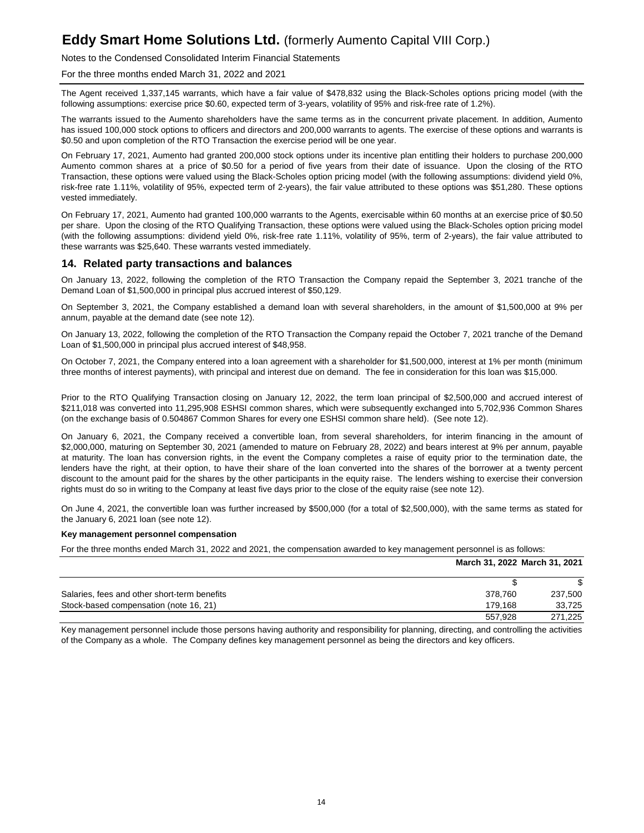### Notes to the Condensed Consolidated Interim Financial Statements

For the three months ended March 31, 2022 and 2021

The Agent received 1,337,145 warrants, which have a fair value of \$478,832 using the Black-Scholes options pricing model (with the following assumptions: exercise price \$0.60, expected term of 3-years, volatility of 95% and risk-free rate of 1.2%).

The warrants issued to the Aumento shareholders have the same terms as in the concurrent private placement. In addition, Aumento has issued 100,000 stock options to officers and directors and 200,000 warrants to agents. The exercise of these options and warrants is \$0.50 and upon completion of the RTO Transaction the exercise period will be one year.

On February 17, 2021, Aumento had granted 200,000 stock options under its incentive plan entitling their holders to purchase 200,000 Aumento common shares at a price of \$0.50 for a period of five years from their date of issuance. Upon the closing of the RTO Transaction, these options were valued using the Black-Scholes option pricing model (with the following assumptions: dividend yield 0%, risk-free rate 1.11%, volatility of 95%, expected term of 2-years), the fair value attributed to these options was \$51,280. These options vested immediately.

On February 17, 2021, Aumento had granted 100,000 warrants to the Agents, exercisable within 60 months at an exercise price of \$0.50 per share. Upon the closing of the RTO Qualifying Transaction, these options were valued using the Black-Scholes option pricing model (with the following assumptions: dividend yield 0%, risk-free rate 1.11%, volatility of 95%, term of 2-years), the fair value attributed to these warrants was \$25,640. These warrants vested immediately.

### **14. Related party transactions and balances**

On January 13, 2022, following the completion of the RTO Transaction the Company repaid the September 3, 2021 tranche of the Demand Loan of \$1,500,000 in principal plus accrued interest of \$50,129.

On September 3, 2021, the Company established a demand loan with several shareholders, in the amount of \$1,500,000 at 9% per annum, payable at the demand date (see note 12).

On January 13, 2022, following the completion of the RTO Transaction the Company repaid the October 7, 2021 tranche of the Demand Loan of \$1,500,000 in principal plus accrued interest of \$48,958.

On October 7, 2021, the Company entered into a loan agreement with a shareholder for \$1,500,000, interest at 1% per month (minimum three months of interest payments), with principal and interest due on demand. The fee in consideration for this loan was \$15,000.

Prior to the RTO Qualifying Transaction closing on January 12, 2022, the term loan principal of \$2,500,000 and accrued interest of \$211,018 was converted into 11,295,908 ESHSI common shares, which were subsequently exchanged into 5,702,936 Common Shares (on the exchange basis of 0.504867 Common Shares for every one ESHSI common share held). (See note 12).

On January 6, 2021, the Company received a convertible loan, from several shareholders, for interim financing in the amount of \$2,000,000, maturing on September 30, 2021 (amended to mature on February 28, 2022) and bears interest at 9% per annum, payable at maturity. The loan has conversion rights, in the event the Company completes a raise of equity prior to the termination date, the lenders have the right, at their option, to have their share of the loan converted into the shares of the borrower at a twenty percent discount to the amount paid for the shares by the other participants in the equity raise. The lenders wishing to exercise their conversion rights must do so in writing to the Company at least five days prior to the close of the equity raise (see note 12).

On June 4, 2021, the convertible loan was further increased by \$500,000 (for a total of \$2,500,000), with the same terms as stated for the January 6, 2021 loan (see note 12).

#### **Key management personnel compensation**

For the three months ended March 31, 2022 and 2021, the compensation awarded to key management personnel is as follows:

|                                              | March 31, 2022 March 31, 2021 |         |
|----------------------------------------------|-------------------------------|---------|
|                                              |                               |         |
| Salaries, fees and other short-term benefits | 378.760                       | 237.500 |
| Stock-based compensation (note 16, 21)       | 179.168                       | 33.725  |
|                                              | 557.928                       | 271.225 |

Key management personnel include those persons having authority and responsibility for planning, directing, and controlling the activities of the Company as a whole. The Company defines key management personnel as being the directors and key officers.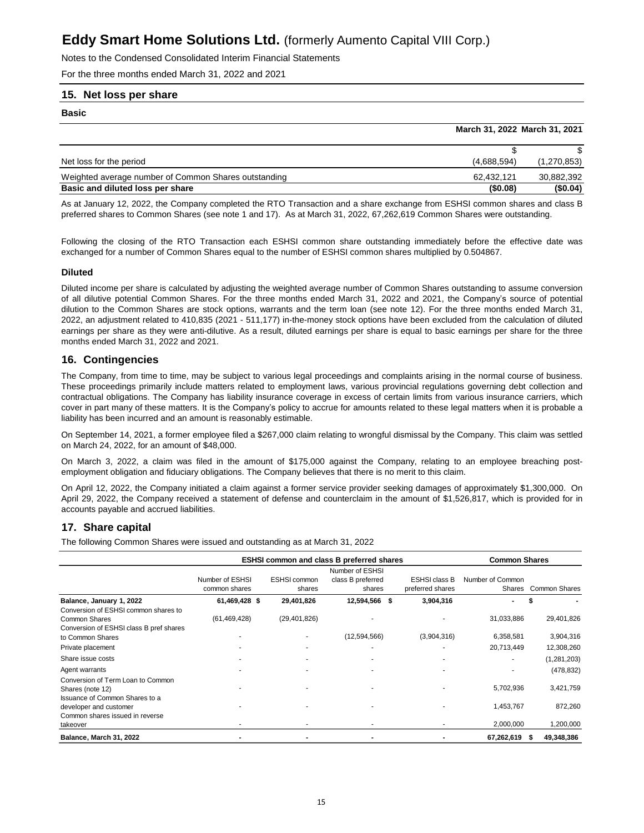Notes to the Condensed Consolidated Interim Financial Statements

For the three months ended March 31, 2022 and 2021

### **15. Net loss per share**

**Basic**

|                                                      | March 31, 2022 March 31, 2021 |             |
|------------------------------------------------------|-------------------------------|-------------|
|                                                      |                               |             |
| Net loss for the period                              | (4,688,594)                   | (1,270,853) |
| Weighted average number of Common Shares outstanding | 62.432.121                    | 30,882,392  |
| Basic and diluted loss per share                     | (\$0.08)                      | (S0.04)     |

As at January 12, 2022, the Company completed the RTO Transaction and a share exchange from ESHSI common shares and class B preferred shares to Common Shares (see note 1 and 17). As at March 31, 2022, 67,262,619 Common Shares were outstanding.

Following the closing of the RTO Transaction each ESHSI common share outstanding immediately before the effective date was exchanged for a number of Common Shares equal to the number of ESHSI common shares multiplied by 0.504867.

#### **Diluted**

Diluted income per share is calculated by adjusting the weighted average number of Common Shares outstanding to assume conversion of all dilutive potential Common Shares. For the three months ended March 31, 2022 and 2021, the Company's source of potential dilution to the Common Shares are stock options, warrants and the term loan (see note 12). For the three months ended March 31, 2022, an adjustment related to 410,835 (2021 - 511,177) in-the-money stock options have been excluded from the calculation of diluted earnings per share as they were anti-dilutive. As a result, diluted earnings per share is equal to basic earnings per share for the three months ended March 31, 2022 and 2021.

### **16. Contingencies**

The Company, from time to time, may be subject to various legal proceedings and complaints arising in the normal course of business. These proceedings primarily include matters related to employment laws, various provincial regulations governing debt collection and contractual obligations. The Company has liability insurance coverage in excess of certain limits from various insurance carriers, which cover in part many of these matters. It is the Company's policy to accrue for amounts related to these legal matters when it is probable a liability has been incurred and an amount is reasonably estimable.

On September 14, 2021, a former employee filed a \$267,000 claim relating to wrongful dismissal by the Company. This claim was settled on March 24, 2022, for an amount of \$48,000.

On March 3, 2022, a claim was filed in the amount of \$175,000 against the Company, relating to an employee breaching postemployment obligation and fiduciary obligations. The Company believes that there is no merit to this claim.

On April 12, 2022, the Company initiated a claim against a former service provider seeking damages of approximately \$1,300,000. On April 29, 2022, the Company received a statement of defense and counterclaim in the amount of \$1,526,817, which is provided for in accounts payable and accrued liabilities.

### **17. Share capital**

The following Common Shares were issued and outstanding as at March 31, 2022

|                                                                                                         | <b>ESHSI common and class B preferred shares</b> | <b>Common Shares</b>          |                                                |   |                                          |                            |                      |
|---------------------------------------------------------------------------------------------------------|--------------------------------------------------|-------------------------------|------------------------------------------------|---|------------------------------------------|----------------------------|----------------------|
|                                                                                                         | Number of ESHSI<br>common shares                 | <b>ESHSI</b> common<br>shares | Number of ESHSI<br>class B preferred<br>shares |   | <b>ESHSI class B</b><br>preferred shares | Number of Common<br>Shares | <b>Common Shares</b> |
| Balance, January 1, 2022                                                                                | 61,469,428 \$                                    | 29,401,826                    | 12,594,566                                     | S | 3,904,316                                |                            |                      |
| Conversion of ESHSI common shares to<br><b>Common Shares</b><br>Conversion of ESHSI class B pref shares | (61, 469, 428)                                   | (29, 401, 826)                |                                                |   |                                          | 31,033,886                 | 29,401,826           |
| to Common Shares                                                                                        |                                                  |                               | (12,594,566)                                   |   | (3,904,316)                              | 6,358,581                  | 3,904,316            |
| Private placement                                                                                       |                                                  |                               |                                                |   |                                          | 20,713,449                 | 12,308,260           |
| Share issue costs                                                                                       |                                                  |                               |                                                |   |                                          |                            | (1, 281, 203)        |
| Agent warrants                                                                                          |                                                  |                               |                                                |   |                                          |                            | (478, 832)           |
| Conversion of Term Loan to Common<br>Shares (note 12)<br>Issuance of Common Shares to a                 |                                                  |                               |                                                |   |                                          | 5,702,936                  | 3,421,759            |
| developer and customer<br>Common shares issued in reverse                                               |                                                  |                               |                                                |   |                                          | 1,453,767                  | 872,260              |
| takeover                                                                                                |                                                  |                               |                                                |   |                                          | 2,000,000                  | 1,200,000            |
| Balance, March 31, 2022                                                                                 |                                                  |                               |                                                |   |                                          | 67,262,619                 | 49,348,386<br>S      |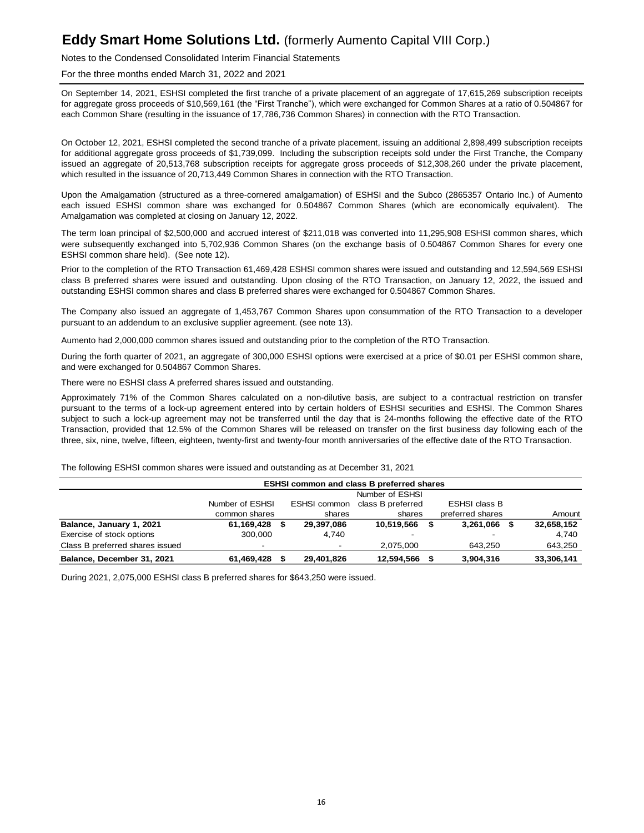### Notes to the Condensed Consolidated Interim Financial Statements

For the three months ended March 31, 2022 and 2021

On September 14, 2021, ESHSI completed the first tranche of a private placement of an aggregate of 17,615,269 subscription receipts for aggregate gross proceeds of \$10,569,161 (the "First Tranche"), which were exchanged for Common Shares at a ratio of 0.504867 for each Common Share (resulting in the issuance of 17,786,736 Common Shares) in connection with the RTO Transaction.

On October 12, 2021, ESHSI completed the second tranche of a private placement, issuing an additional 2,898,499 subscription receipts for additional aggregate gross proceeds of \$1,739,099. Including the subscription receipts sold under the First Tranche, the Company issued an aggregate of 20,513,768 subscription receipts for aggregate gross proceeds of \$12,308,260 under the private placement, which resulted in the issuance of 20,713,449 Common Shares in connection with the RTO Transaction.

Upon the Amalgamation (structured as a three-cornered amalgamation) of ESHSI and the Subco (2865357 Ontario Inc.) of Aumento each issued ESHSI common share was exchanged for 0.504867 Common Shares (which are economically equivalent). The Amalgamation was completed at closing on January 12, 2022.

The term loan principal of \$2,500,000 and accrued interest of \$211,018 was converted into 11,295,908 ESHSI common shares, which were subsequently exchanged into 5,702,936 Common Shares (on the exchange basis of 0.504867 Common Shares for every one ESHSI common share held). (See note 12).

Prior to the completion of the RTO Transaction 61,469,428 ESHSI common shares were issued and outstanding and 12,594,569 ESHSI class B preferred shares were issued and outstanding. Upon closing of the RTO Transaction, on January 12, 2022, the issued and outstanding ESHSI common shares and class B preferred shares were exchanged for 0.504867 Common Shares.

The Company also issued an aggregate of 1,453,767 Common Shares upon consummation of the RTO Transaction to a developer pursuant to an addendum to an exclusive supplier agreement. (see note 13).

Aumento had 2,000,000 common shares issued and outstanding prior to the completion of the RTO Transaction.

During the forth quarter of 2021, an aggregate of 300,000 ESHSI options were exercised at a price of \$0.01 per ESHSI common share, and were exchanged for 0.504867 Common Shares.

There were no ESHSI class A preferred shares issued and outstanding.

Approximately 71% of the Common Shares calculated on a non-dilutive basis, are subject to a contractual restriction on transfer pursuant to the terms of a lock-up agreement entered into by certain holders of ESHSI securities and ESHSI. The Common Shares subject to such a lock-up agreement may not be transferred until the day that is 24-months following the effective date of the RTO Transaction, provided that 12.5% of the Common Shares will be released on transfer on the first business day following each of the three, six, nine, twelve, fifteen, eighteen, twenty-first and twenty-four month anniversaries of the effective date of the RTO Transaction.

The following ESHSI common shares were issued and outstanding as at December 31, 2021

|                                 | <b>ESHSI common and class B preferred shares</b> |  |              |                          |  |                      |   |            |  |  |
|---------------------------------|--------------------------------------------------|--|--------------|--------------------------|--|----------------------|---|------------|--|--|
|                                 | Number of ESHSI                                  |  |              |                          |  |                      |   |            |  |  |
|                                 | Number of ESHSI                                  |  | ESHSI common | class B preferred        |  | <b>ESHSI class B</b> |   |            |  |  |
|                                 | common shares                                    |  | shares       | shares                   |  | preferred shares     |   | Amount     |  |  |
| Balance, January 1, 2021        | 61.169.428 \$                                    |  | 29,397,086   | 10,519,566               |  | 3,261,066            | S | 32,658,152 |  |  |
| Exercise of stock options       | 300,000                                          |  | 4.740        | $\overline{\phantom{0}}$ |  |                      |   | 4,740      |  |  |
| Class B preferred shares issued |                                                  |  |              | 2.075.000                |  | 643.250              |   | 643,250    |  |  |
| Balance, December 31, 2021      | 61,469,428                                       |  | 29,401,826   | 12,594,566               |  | 3,904,316            |   | 33,306,141 |  |  |

During 2021, 2,075,000 ESHSI class B preferred shares for \$643,250 were issued.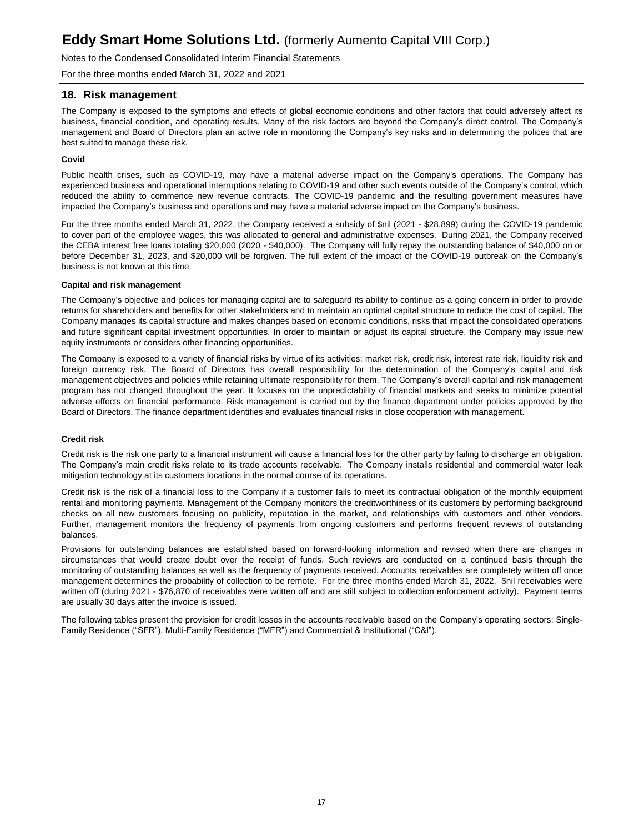Notes to the Condensed Consolidated Interim Financial Statements

For the three months ended March 31, 2022 and 2021

### **18. Risk management**

The Company is exposed to the symptoms and effects of global economic conditions and other factors that could adversely affect its business, financial condition, and operating results. Many of the risk factors are beyond the Company's direct control. The Company's management and Board of Directors plan an active role in monitoring the Company's key risks and in determining the polices that are best suited to manage these risk.

### **Covid**

Public health crises, such as COVID-19, may have a material adverse impact on the Company's operations. The Company has experienced business and operational interruptions relating to COVID-19 and other such events outside of the Company's control, which reduced the ability to commence new revenue contracts. The COVID-19 pandemic and the resulting government measures have impacted the Company's business and operations and may have a material adverse impact on the Company's business.

For the three months ended March 31, 2022, the Company received a subsidy of \$nil (2021 - \$28,899) during the COVID-19 pandemic to cover part of the employee wages, this was allocated to general and administrative expenses. During 2021, the Company received the CEBA interest free loans totaling \$20,000 (2020 - \$40,000). The Company will fully repay the outstanding balance of \$40,000 on or before December 31, 2023, and \$20,000 will be forgiven. The full extent of the impact of the COVID-19 outbreak on the Company's business is not known at this time.

#### **Capital and risk management**

The Company's objective and polices for managing capital are to safeguard its ability to continue as a going concern in order to provide returns for shareholders and benefits for other stakeholders and to maintain an optimal capital structure to reduce the cost of capital. The Company manages its capital structure and makes changes based on economic conditions, risks that impact the consolidated operations and future significant capital investment opportunities. In order to maintain or adjust its capital structure, the Company may issue new equity instruments or considers other financing opportunities.

The Company is exposed to a variety of financial risks by virtue of its activities: market risk, credit risk, interest rate risk, liquidity risk and foreign currency risk. The Board of Directors has overall responsibility for the determination of the Company's capital and risk management objectives and policies while retaining ultimate responsibility for them. The Company's overall capital and risk management program has not changed throughout the year. It focuses on the unpredictability of financial markets and seeks to minimize potential adverse effects on financial performance. Risk management is carried out by the finance department under policies approved by the Board of Directors. The finance department identifies and evaluates financial risks in close cooperation with management.

#### **Credit risk**

Credit risk is the risk one party to a financial instrument will cause a financial loss for the other party by failing to discharge an obligation. The Company's main credit risks relate to its trade accounts receivable. The Company installs residential and commercial water leak mitigation technology at its customers locations in the normal course of its operations.

Credit risk is the risk of a financial loss to the Company if a customer fails to meet its contractual obligation of the monthly equipment rental and monitoring payments. Management of the Company monitors the creditworthiness of its customers by performing background checks on all new customers focusing on publicity, reputation in the market, and relationships with customers and other vendors. Further, management monitors the frequency of payments from ongoing customers and performs frequent reviews of outstanding balances.

Provisions for outstanding balances are established based on forward-looking information and revised when there are changes in circumstances that would create doubt over the receipt of funds. Such reviews are conducted on a continued basis through the monitoring of outstanding balances as well as the frequency of payments received. Accounts receivables are completely written off once management determines the probability of collection to be remote. For the three months ended March 31, 2022, \$nil receivables were written off (during 2021 - \$76,870 of receivables were written off and are still subject to collection enforcement activity). Payment terms are usually 30 days after the invoice is issued.

The following tables present the provision for credit losses in the accounts receivable based on the Company's operating sectors: Single-Family Residence ("SFR"), Multi-Family Residence ("MFR") and Commercial & Institutional ("C&I").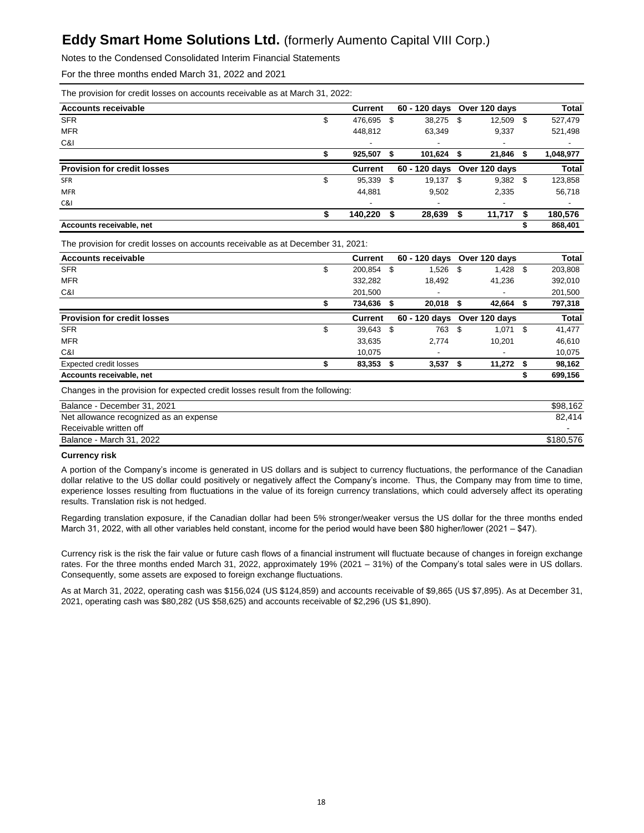Notes to the Condensed Consolidated Interim Financial Statements

For the three months ended March 31, 2022 and 2021

|  |  |  | The provision for credit losses on accounts receivable as at March 31, 2022: |  |  |
|--|--|--|------------------------------------------------------------------------------|--|--|
|  |  |  |                                                                              |  |  |

| <b>Current</b>           |   |        |                                                  |                                              | <b>Total</b>                           |
|--------------------------|---|--------|--------------------------------------------------|----------------------------------------------|----------------------------------------|
| \$<br>476,695            | S |        |                                                  |                                              | 527,479                                |
| 448.812                  |   | 63,349 | 9,337                                            |                                              | 521,498                                |
| $\overline{\phantom{0}}$ |   |        |                                                  |                                              | $\overline{\phantom{0}}$               |
| 925.507                  |   |        |                                                  |                                              | 1,048,977                              |
| <b>Current</b>           |   |        |                                                  |                                              | <b>Total</b>                           |
| \$<br>95,339             | S | 19,137 |                                                  |                                              | 123,858                                |
| 44.881                   |   | 9.502  | 2,335                                            |                                              | 56,718                                 |
| $\overline{\phantom{a}}$ |   |        |                                                  |                                              |                                        |
| 140,220                  | S | 28,639 | 11,717                                           |                                              | 180,576                                |
|                          |   |        |                                                  |                                              | 868,401                                |
|                          |   |        | 60 - 120 days<br>38,275 \$<br>101,624 \$<br>- \$ | Over 120 days<br>60 - 120 days Over 120 days | $12,509$ \$<br>21,846 \$<br>$9,382$ \$ |

The provision for credit losses on accounts receivable as at December 31, 2021:

| <b>Accounts receivable</b>         | Current       |   | 60 - 120 days               |     | Over 120 davs |      | <b>Total</b> |
|------------------------------------|---------------|---|-----------------------------|-----|---------------|------|--------------|
| <b>SFR</b>                         | \$<br>200,854 | S | 1,526                       | S   | 1,428         | S.   | 203,808      |
| <b>MFR</b>                         | 332,282       |   | 18.492                      |     | 41,236        |      | 392,010      |
| C&I                                | 201,500       |   | -                           |     |               |      | 201,500      |
|                                    | 734.636       |   | 20,018                      |     | 42,664        |      | 797,318      |
| <b>Provision for credit losses</b> | Current       |   | 60 - 120 days Over 120 days |     |               |      | <b>Total</b> |
| <b>SFR</b>                         | \$<br>39,643  | S | 763                         | -\$ | $1,071$ \$    |      | 41,477       |
| <b>MFR</b>                         | 33,635        |   | 2,774                       |     | 10,201        |      | 46,610       |
| C&I                                | 10.075        |   | ٠                           |     |               |      | 10,075       |
| <b>Expected credit losses</b>      | 83,353        | S | 3,537                       |     | 11,272        | - \$ | 98,162       |
| Accounts receivable, net           |               |   |                             |     |               |      | 699,156      |

Changes in the provision for expected credit losses result from the following:

| Balance - December 31, 2021            | \$98.162  |
|----------------------------------------|-----------|
| Net allowance recognized as an expense | 82.414    |
| Receivable written off                 |           |
| Balance - March 31, 2022               | \$180.576 |

#### **Currency risk**

A portion of the Company's income is generated in US dollars and is subject to currency fluctuations, the performance of the Canadian dollar relative to the US dollar could positively or negatively affect the Company's income. Thus, the Company may from time to time, experience losses resulting from fluctuations in the value of its foreign currency translations, which could adversely affect its operating results. Translation risk is not hedged.

Regarding translation exposure, if the Canadian dollar had been 5% stronger/weaker versus the US dollar for the three months ended March 31, 2022, with all other variables held constant, income for the period would have been \$80 higher/lower (2021 – \$47).

Currency risk is the risk the fair value or future cash flows of a financial instrument will fluctuate because of changes in foreign exchange rates. For the three months ended March 31, 2022, approximately 19% (2021 – 31%) of the Company's total sales were in US dollars. Consequently, some assets are exposed to foreign exchange fluctuations.

As at March 31, 2022, operating cash was \$156,024 (US \$124,859) and accounts receivable of \$9,865 (US \$7,895). As at December 31, 2021, operating cash was \$80,282 (US \$58,625) and accounts receivable of \$2,296 (US \$1,890).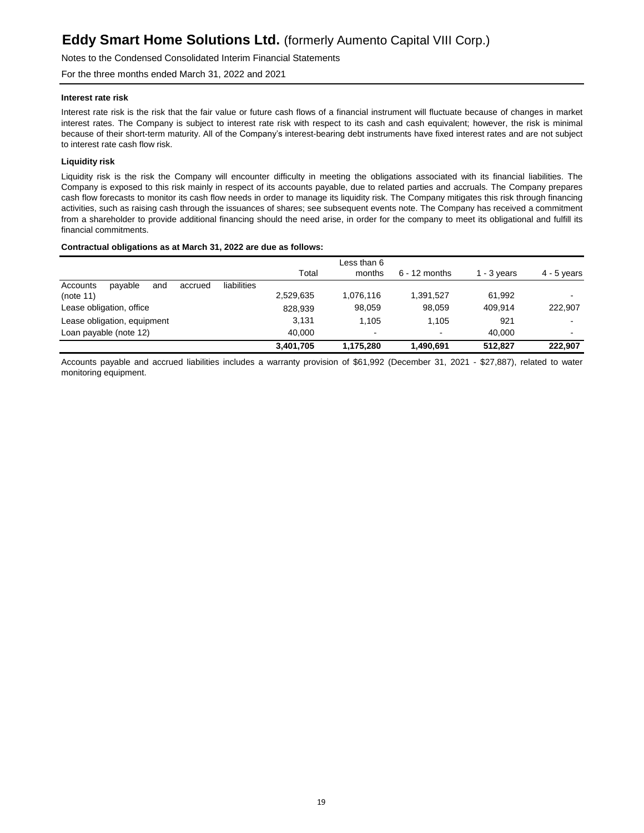Notes to the Condensed Consolidated Interim Financial Statements

For the three months ended March 31, 2022 and 2021

#### **Interest rate risk**

Interest rate risk is the risk that the fair value or future cash flows of a financial instrument will fluctuate because of changes in market interest rates. The Company is subject to interest rate risk with respect to its cash and cash equivalent; however, the risk is minimal because of their short-term maturity. All of the Company's interest-bearing debt instruments have fixed interest rates and are not subject to interest rate cash flow risk.

### **Liquidity risk**

Liquidity risk is the risk the Company will encounter difficulty in meeting the obligations associated with its financial liabilities. The Company is exposed to this risk mainly in respect of its accounts payable, due to related parties and accruals. The Company prepares cash flow forecasts to monitor its cash flow needs in order to manage its liquidity risk. The Company mitigates this risk through financing activities, such as raising cash through the issuances of shares; see subsequent events note. The Company has received a commitment from a shareholder to provide additional financing should the need arise, in order for the company to meet its obligational and fulfill its financial commitments.

#### **Contractual obligations as at March 31, 2022 are due as follows:**

|                                                      |           | Less than 6 |                          |               |               |
|------------------------------------------------------|-----------|-------------|--------------------------|---------------|---------------|
|                                                      | Total     | months      | $6 - 12$ months          | 1 - $3$ years | $4 - 5$ years |
| liabilities<br>payable<br>Accounts<br>and<br>accrued |           |             |                          |               |               |
| (note 11)                                            | 2,529,635 | 1.076.116   | 1,391,527                | 61.992        |               |
| Lease obligation, office                             | 828.939   | 98,059      | 98,059                   | 409.914       | 222.907       |
| Lease obligation, equipment                          | 3.131     | 1.105       | 1.105                    | 921           |               |
| Loan payable (note 12)                               | 40.000    | ٠           | $\overline{\phantom{a}}$ | 40.000        |               |
|                                                      | 3.401.705 | 1.175.280   | 1,490,691                | 512.827       | 222.907       |

Accounts payable and accrued liabilities includes a warranty provision of \$61,992 (December 31, 2021 - \$27,887), related to water monitoring equipment.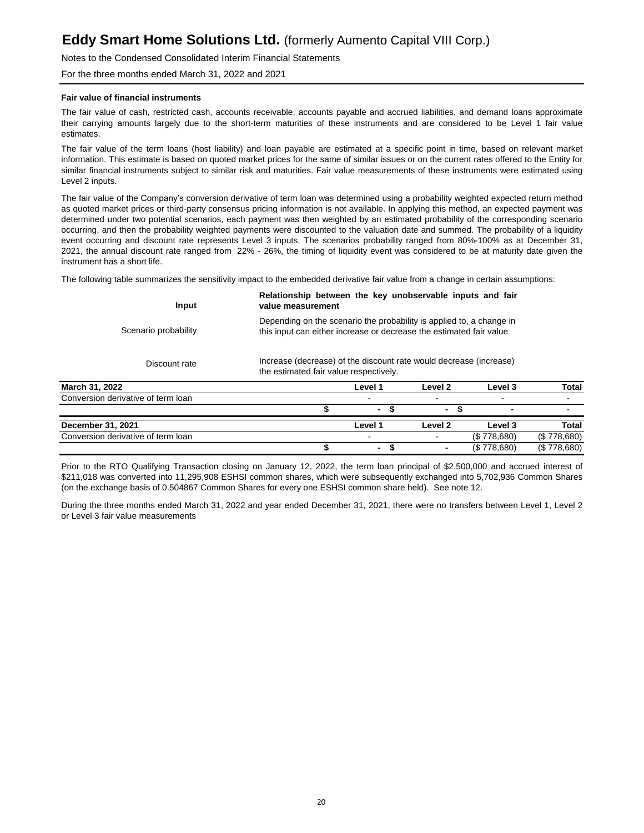### Notes to the Condensed Consolidated Interim Financial Statements

For the three months ended March 31, 2022 and 2021

#### **Fair value of financial instruments**

The fair value of cash, restricted cash, accounts receivable, accounts payable and accrued liabilities, and demand loans approximate their carrying amounts largely due to the short-term maturities of these instruments and are considered to be Level 1 fair value estimates.

The fair value of the term loans (host liability) and loan payable are estimated at a specific point in time, based on relevant market information. This estimate is based on quoted market prices for the same of similar issues or on the current rates offered to the Entity for similar financial instruments subject to similar risk and maturities. Fair value measurements of these instruments were estimated using Level 2 inputs.

The fair value of the Company's conversion derivative of term loan was determined using a probability weighted expected return method as quoted market prices or third-party consensus pricing information is not available. In applying this method, an expected payment was determined under two potential scenarios, each payment was then weighted by an estimated probability of the corresponding scenario occurring, and then the probability weighted payments were discounted to the valuation date and summed. The probability of a liquidity event occurring and discount rate represents Level 3 inputs. The scenarios probability ranged from 80%-100% as at December 31, 2021, the annual discount rate ranged from 22% - 26%, the timing of liquidity event was considered to be at maturity date given the instrument has a short life.

The following table summarizes the sensitivity impact to the embedded derivative fair value from a change in certain assumptions:

| Input                              | Relationship between the key unobservable inputs and fair<br>value measurement<br>Depending on the scenario the probability is applied to, a change in<br>Scenario probability<br>this input can either increase or decrease the estimated fair value |                                                                                                              |         |             |              |  |  |  |  |
|------------------------------------|-------------------------------------------------------------------------------------------------------------------------------------------------------------------------------------------------------------------------------------------------------|--------------------------------------------------------------------------------------------------------------|---------|-------------|--------------|--|--|--|--|
|                                    |                                                                                                                                                                                                                                                       |                                                                                                              |         |             |              |  |  |  |  |
| Discount rate                      |                                                                                                                                                                                                                                                       | Increase (decrease) of the discount rate would decrease (increase)<br>the estimated fair value respectively. |         |             |              |  |  |  |  |
| March 31, 2022                     |                                                                                                                                                                                                                                                       | Level 1                                                                                                      | Level 2 | Level 3     | <b>Total</b> |  |  |  |  |
| Conversion derivative of term loan |                                                                                                                                                                                                                                                       |                                                                                                              |         |             |              |  |  |  |  |
|                                    |                                                                                                                                                                                                                                                       |                                                                                                              | ٠       |             |              |  |  |  |  |
| December 31, 2021                  |                                                                                                                                                                                                                                                       | Level 1                                                                                                      | Level 2 | Level 3     | <b>Total</b> |  |  |  |  |
| Conversion derivative of term loan |                                                                                                                                                                                                                                                       |                                                                                                              |         | (S.778,680) | (S.778,680)  |  |  |  |  |
|                                    |                                                                                                                                                                                                                                                       | ۰.                                                                                                           |         | (S.778.680) | (\$778.680)  |  |  |  |  |

Prior to the RTO Qualifying Transaction closing on January 12, 2022, the term loan principal of \$2,500,000 and accrued interest of \$211,018 was converted into 11,295,908 ESHSI common shares, which were subsequently exchanged into 5,702,936 Common Shares (on the exchange basis of 0.504867 Common Shares for every one ESHSI common share held). See note 12.

During the three months ended March 31, 2022 and year ended December 31, 2021, there were no transfers between Level 1, Level 2 or Level 3 fair value measurements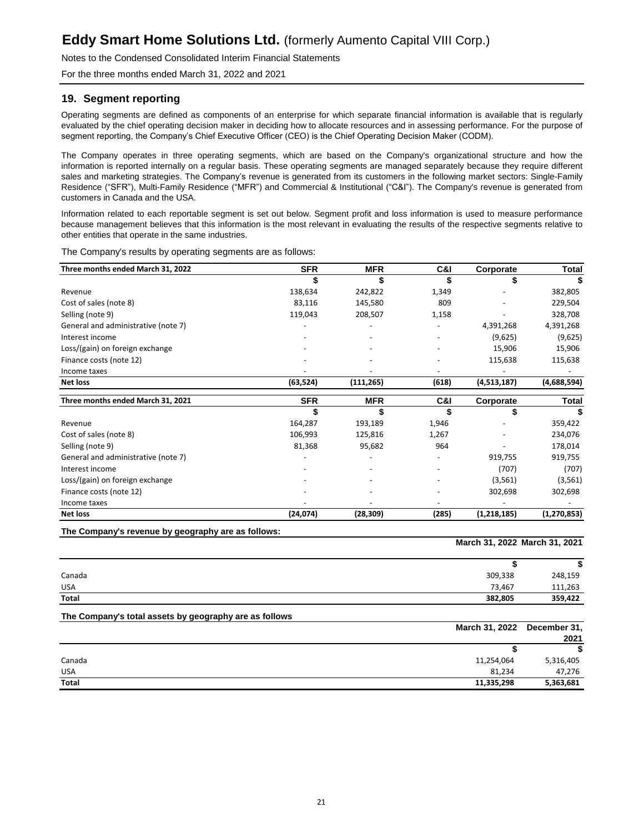Notes to the Condensed Consolidated Interim Financial Statements

For the three months ended March 31, 2022 and 2021

### **19. Segment reporting**

Operating segments are defined as components of an enterprise for which separate financial information is available that is regularly evaluated by the chief operating decision maker in deciding how to allocate resources and in assessing performance. For the purpose of segment reporting, the Company's Chief Executive Officer (CEO) is the Chief Operating Decision Maker (CODM).

The Company operates in three operating segments, which are based on the Company's organizational structure and how the information is reported internally on a regular basis. These operating segments are managed separately because they require different sales and marketing strategies. The Company's revenue is generated from its customers in the following market sectors: Single-Family Residence ("SFR"), Multi-Family Residence ("MFR") and Commercial & Institutional ("C&I"). The Company's revenue is generated from customers in Canada and the USA.

Information related to each reportable segment is set out below. Segment profit and loss information is used to measure performance because management believes that this information is the most relevant in evaluating the results of the respective segments relative to other entities that operate in the same industries.

The Company's results by operating segments are as follows:

| Three months ended March 31, 2022   | <b>SFR</b> | <b>MFR</b> | C&I   | Corporate   | Total         |
|-------------------------------------|------------|------------|-------|-------------|---------------|
|                                     | \$         |            | \$    | S           |               |
| Revenue                             | 138,634    | 242,822    | 1,349 |             | 382,805       |
| Cost of sales (note 8)              | 83,116     | 145,580    | 809   |             | 229,504       |
| Selling (note 9)                    | 119,043    | 208,507    | 1,158 |             | 328,708       |
| General and administrative (note 7) |            |            |       | 4,391,268   | 4,391,268     |
| Interest income                     |            |            |       | (9,625)     | (9,625)       |
| Loss/(gain) on foreign exchange     |            |            |       | 15,906      | 15,906        |
| Finance costs (note 12)             |            |            |       | 115,638     | 115,638       |
| Income taxes                        |            |            |       |             |               |
| <b>Net loss</b>                     | (63, 524)  | (111, 265) | (618) | (4,513,187) | (4,688,594)   |
| Three months ended March 31, 2021   | <b>SFR</b> | <b>MFR</b> | C&I   | Corporate   | <b>Total</b>  |
|                                     | S          |            |       |             |               |
| Revenue                             | 164,287    | 193,189    | 1,946 |             | 359,422       |
| Cost of sales (note 8)              | 106,993    | 125,816    | 1,267 |             | 234,076       |
| Selling (note 9)                    | 81,368     | 95,682     | 964   |             | 178,014       |
| General and administrative (note 7) |            |            |       | 919,755     | 919,755       |
| Interest income                     |            |            |       | (707)       | (707)         |
| Loss/(gain) on foreign exchange     |            |            |       | (3, 561)    | (3, 561)      |
| Finance costs (note 12)             |            |            |       | 302,698     | 302,698       |
| Income taxes                        |            |            |       |             |               |
| <b>Net loss</b>                     | (24,074)   | (28, 309)  | (285) | (1,218,185) | (1, 270, 853) |

**The Company's revenue by geography are as follows:**

**March 31, 2022 March 31, 2021**

| Canada | 309,338 | 248,159 |
|--------|---------|---------|
| USA    | 73,467  | 111,263 |
| Total  | 382,805 | 359,422 |

**The Company's total assets by geography are as follows**

| March 31, 2022 December 31, |           |
|-----------------------------|-----------|
|                             | 2021      |
|                             |           |
| Canada<br>11,254,064        | 5,316,405 |
| <b>USA</b><br>81,234        | 47,276    |
| <b>Total</b><br>11,335,298  | 5,363,681 |